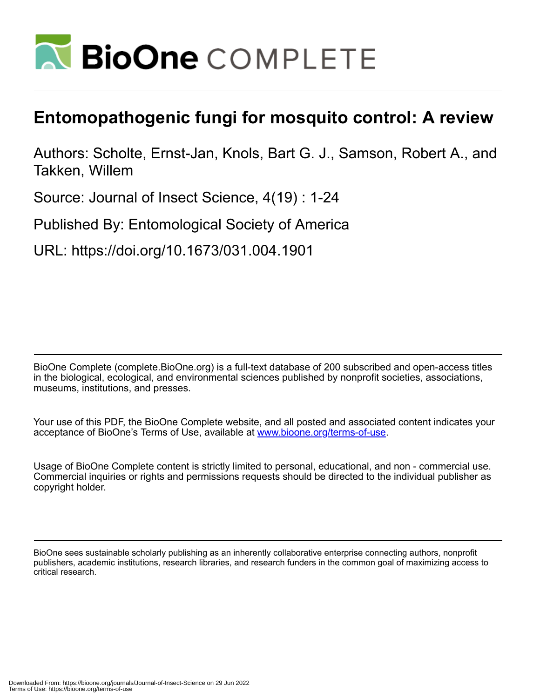

# **Entomopathogenic fungi for mosquito control: A review**

Authors: Scholte, Ernst-Jan, Knols, Bart G. J., Samson, Robert A., and Takken, Willem

Source: Journal of Insect Science, 4(19) : 1-24

Published By: Entomological Society of America

URL: https://doi.org/10.1673/031.004.1901

BioOne Complete (complete.BioOne.org) is a full-text database of 200 subscribed and open-access titles in the biological, ecological, and environmental sciences published by nonprofit societies, associations, museums, institutions, and presses.

Your use of this PDF, the BioOne Complete website, and all posted and associated content indicates your acceptance of BioOne's Terms of Use, available at www.bioone.org/terms-of-use.

Usage of BioOne Complete content is strictly limited to personal, educational, and non - commercial use. Commercial inquiries or rights and permissions requests should be directed to the individual publisher as copyright holder.

BioOne sees sustainable scholarly publishing as an inherently collaborative enterprise connecting authors, nonprofit publishers, academic institutions, research libraries, and research funders in the common goal of maximizing access to critical research.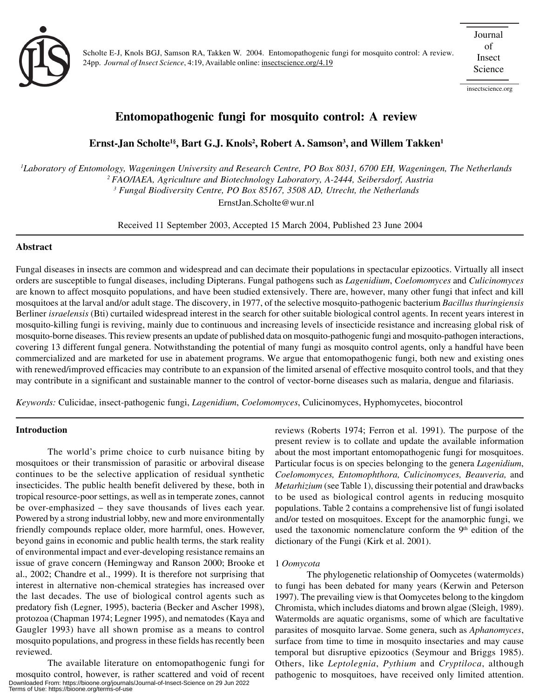

Scholte E-J, Knols BGJ, Samson RA, Takken W. 2004. Entomopathogenic fungi for mosquito control: A review. 24pp. *Journal of Insect Science*, 4:19, Available online: insectscience.org/4.19

insectscience.org

# **Entomopathogenic fungi for mosquito control: A review**

Ernst-Jan Scholte<sup>1§</sup>, Bart G.J. Knols<sup>2</sup>, Robert A. Samson<sup>3</sup>, and Willem Takken<sup>1</sup>

*1 Laboratory of Entomology, Wageningen University and Research Centre, PO Box 8031, 6700 EH, Wageningen, The Netherlands*

*2 FAO/IAEA, Agriculture and Biotechnology Laboratory, A-2444, Seibersdorf, Austria*

<sup>3</sup> Fungal Biodiversity Centre, PO Box 85167, 3508 AD, Utrecht, the Netherlands

ErnstJan.Scholte@wur.nl

Received 11 September 2003, Accepted 15 March 2004, Published 23 June 2004

# **Abstract**

Fungal diseases in insects are common and widespread and can decimate their populations in spectacular epizootics. Virtually all insect orders are susceptible to fungal diseases, including Dipterans. Fungal pathogens such as *Lagenidium*, *Coelomomyces* and *Culicinomyces* are known to affect mosquito populations, and have been studied extensively. There are, however, many other fungi that infect and kill mosquitoes at the larval and/or adult stage. The discovery, in 1977, of the selective mosquito-pathogenic bacterium *Bacillus thuringiensis* Berliner *israelensis* (Bti) curtailed widespread interest in the search for other suitable biological control agents. In recent years interest in mosquito-killing fungi is reviving, mainly due to continuous and increasing levels of insecticide resistance and increasing global risk of mosquito-borne diseases. This review presents an update of published data on mosquito-pathogenic fungi and mosquito-pathogen interactions, covering 13 different fungal genera. Notwithstanding the potential of many fungi as mosquito control agents, only a handful have been commercialized and are marketed for use in abatement programs. We argue that entomopathogenic fungi, both new and existing ones with renewed/improved efficacies may contribute to an expansion of the limited arsenal of effective mosquito control tools, and that they may contribute in a significant and sustainable manner to the control of vector-borne diseases such as malaria, dengue and filariasis.

*Keywords:* Culicidae, insect-pathogenic fungi, *Lagenidium*, *Coelomomyces*, Culicinomyces, Hyphomycetes, biocontrol

# **Introduction**

The world's prime choice to curb nuisance biting by mosquitoes or their transmission of parasitic or arboviral disease continues to be the selective application of residual synthetic insecticides. The public health benefit delivered by these, both in tropical resource-poor settings, as well as in temperate zones, cannot be over-emphasized – they save thousands of lives each year. Powered by a strong industrial lobby, new and more environmentally friendly compounds replace older, more harmful, ones. However, beyond gains in economic and public health terms, the stark reality of environmental impact and ever-developing resistance remains an issue of grave concern (Hemingway and Ranson 2000; Brooke et al., 2002; Chandre et al., 1999). It is therefore not surprising that interest in alternative non-chemical strategies has increased over the last decades. The use of biological control agents such as predatory fish (Legner, 1995), bacteria (Becker and Ascher 1998), protozoa (Chapman 1974; Legner 1995), and nematodes (Kaya and Gaugler 1993) have all shown promise as a means to control mosquito populations, and progress in these fields has recently been reviewed.

The available literature on entomopathogenic fungi for mosquito control, however, is rather scattered and void of recent Downloaded From: https://bioone.org/journals/Journal-of-Insect-Science on 29 Jun 2022 Terms of Use: https://bioone.org/terms-of-use

reviews (Roberts 1974; Ferron et al. 1991). The purpose of the present review is to collate and update the available information about the most important entomopathogenic fungi for mosquitoes. Particular focus is on species belonging to the genera *Lagenidium*, *Coelomomyces, Entomophthora, Culicinomyces, Beauveria,* and *Metarhizium* (see Table 1), discussing their potential and drawbacks to be used as biological control agents in reducing mosquito populations. Table 2 contains a comprehensive list of fungi isolated and/or tested on mosquitoes. Except for the anamorphic fungi, we used the taxonomic nomenclature conform the 9<sup>th</sup> edition of the dictionary of the Fungi (Kirk et al. 2001).

#### 1 *Oomycota*

The phylogenetic relationship of Oomycetes (watermolds) to fungi has been debated for many years (Kerwin and Peterson 1997). The prevailing view is that Oomycetes belong to the kingdom Chromista, which includes diatoms and brown algae (Sleigh, 1989). Watermolds are aquatic organisms, some of which are facultative parasites of mosquito larvae. Some genera, such as *Aphanomyces*, surface from time to time in mosquito insectaries and may cause temporal but disruptive epizootics (Seymour and Briggs 1985). Others, like *Leptolegnia*, *Pythium* and *Cryptiloca*, although pathogenic to mosquitoes, have received only limited attention.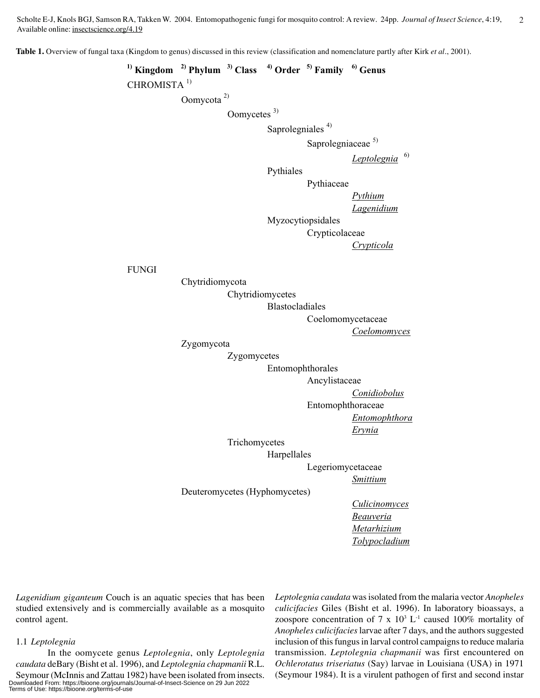Scholte E-J, Knols BGJ, Samson RA, Takken W. 2004. Entomopathogenic fungi for mosquito control: A review. 24pp. *Journal of Insect Science*, 4:19, 2 Available online: insectscience.org/4.19

**Table 1.** Overview of fungal taxa (Kingdom to genus) discussed in this review (classification and nomenclature partly after Kirk *et al*., 2001).

# **1) Kingdom 2) Phylum 3) Class 4) Order 5) Family 6) Genus**

 $CHROMISTA$ <sup>1)</sup>

Oomycota 2)

Oomycetes 3)

Saprolegniales  $4$ )

Saprolegniaceae<sup>5)</sup>

*Leptolegnia* 6)

Pythiales

Pythiaceae

*Pythium*

*Lagenidium*

Myzocytiopsidales Crypticolaceae *Crypticola*

#### FUNGI

Chytridiomycota

Chytridiomycetes

Blastocladiales

Coelomomycetaceae

*Coelomomyces*

Zygomycota

Zygomycetes

Entomophthorales

Ancylistaceae

*Conidiobolus*

Entomophthoraceae

*Entomophthora*

*Erynia*

Trichomycetes

Harpellales

Legeriomycetaceae

*Smittium*

Deuteromycetes (Hyphomycetes)

*Culicinomyces Beauveria Metarhizium Tolypocladium*

*Lagenidium giganteum* Couch is an aquatic species that has been studied extensively and is commercially available as a mosquito control agent.

#### 1.1 *Leptolegnia*

In the oomycete genus *Leptolegnia*, only *Leptolegnia caudata* deBary (Bisht et al. 1996), and *Leptolegnia chapmanii* R.L. Seymour (McInnis and Zattau 1982) have been isolated from insects. Downloaded From: https://bioone.org/journals/Journal-of-Insect-Science on 29 Jun 2022 Terms of Use: https://bioone.org/terms-of-use

*Leptolegnia caudata* was isolated from the malaria vector *Anopheles culicifacies* Giles (Bisht et al. 1996). In laboratory bioassays, a zoospore concentration of 7 x  $10^3$  L<sup>1</sup> caused 100% mortality of *Anopheles culicifacies* larvae after 7 days, and the authors suggested inclusion of this fungus in larval control campaigns to reduce malaria transmission. *Leptolegnia chapmanii* was first encountered on *Ochlerotatus triseriatus* (Say) larvae in Louisiana (USA) in 1971 (Seymour 1984). It is a virulent pathogen of first and second instar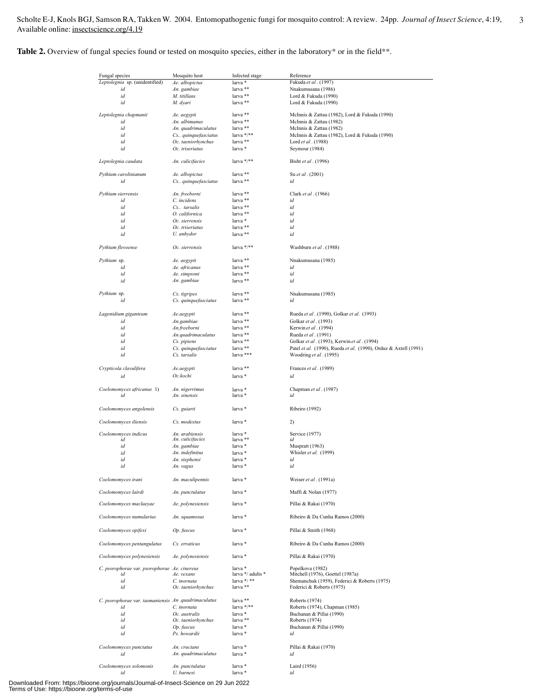Table 2. Overview of fungal species found or tested on mosquito species, either in the laboratory\* or in the field\*\*.

| Fungal species                                       | Mosquito host        | Infected stage    | Reference                                                       |
|------------------------------------------------------|----------------------|-------------------|-----------------------------------------------------------------|
| Leptolegnia sp. (unidentified)                       | Ae. albopictus       | larva *           | Fukuda et al. (1997)                                            |
| id                                                   | An. gambiae          | larva **          | Nnakumusana (1986)                                              |
| id                                                   | M. titillans         | larva **          | Lord & Fukuda (1990)                                            |
| id                                                   | M. dyari             | larva **          | Lord & Fukuda (1990)                                            |
|                                                      |                      |                   |                                                                 |
| Leptolegnia chapmanii                                | Ae. aegypti          | larva **          | McInnis & Zattau (1982), Lord & Fukuda (1990)                   |
| id                                                   | An. albimanus        | larva **          | McInnis & Zattau (1982)                                         |
| id                                                   | An. quadrimaculatus  | $larva$ **        | McInnis & Zattau (1982)                                         |
| id                                                   | Cx quinquefasciatus  | larva $*/**$      | McInnis & Zattau (1982), Lord & Fukuda (1990)                   |
| id                                                   | Oc. taeniorhynchus   | larva **          | Lord et al. (1988)                                              |
| id                                                   | Oc. triseriatus      | larva *           | Seymour (1984)                                                  |
|                                                      |                      |                   |                                                                 |
| Leptolegnia caudata                                  | An. culicifacies     | larva $*/**$      | Bisht et al. (1996)                                             |
|                                                      |                      |                   |                                                                 |
| Pythium carolinianum                                 | Ae. albopictus       | larva **          | Su et al. (2001)                                                |
| id                                                   | Cx quinquefasciatus  | larva **          | id                                                              |
| Pythium sierrensis                                   | An. freeborni        | larva **          | Clark et al. (1966)                                             |
| id                                                   | C. incidens          | larva **          | id                                                              |
| id                                                   | Cx tarsalis          | larva **          | id                                                              |
| id                                                   | O. californica       | larva **          | id                                                              |
| id                                                   | Oc. sierrensis       | larva *           | id                                                              |
| id                                                   | Oc. triseriatus      | $larva$ **        | id                                                              |
| id                                                   | U. anhydor           | $larva$ **        | id                                                              |
|                                                      |                      |                   |                                                                 |
| Pythium flevoense                                    | Oc. sierrensis       | larva $*/**$      | Washburn et al. (1988)                                          |
|                                                      |                      |                   |                                                                 |
| Pythium sp.                                          | Ae. aegypti          | $larva$ **        | Nnakumusana (1985)                                              |
| id                                                   | Ae. africanus        | $larva$ **        | id                                                              |
| id                                                   | Ae. simpsoni         | larva **          | id                                                              |
| id                                                   | An. gambiae          | larva **          | id                                                              |
|                                                      |                      |                   |                                                                 |
| Pythium sp.                                          | Cx. tigripes         | $larva$ **        | Nnakumusana (1985)                                              |
| id                                                   | Cx. quinquefasciatus | larva **          | id                                                              |
|                                                      |                      |                   |                                                                 |
| Lagenidium giganteum                                 | Ae.aegypti           | larva **          | Rueda et al. (1990), Golkar et al. (1993)                       |
| id                                                   | An.gambiae           | $larva$ **        | Golkar et al. (1993)                                            |
| id                                                   | An.freeborni         | $larva$ **        | Kerwin et al. (1994)                                            |
| id                                                   | An.quadrimaculatus   | larva **          | Rueda et al. (1991)                                             |
| id                                                   | Cx. pipiens          | larva **          | Golkar et al. (1993), Kerwin et al. (1994)                      |
| id                                                   | Cx. quinquefasciatus | larva **          | Patel et al. (1990), Rueda et al. (1990), Orduz & Axtell (1991) |
| id                                                   | Cx. tarsalis         | larva ***         | Woodring et al. (1995)                                          |
|                                                      |                      |                   |                                                                 |
| Crypticola clavulifera                               | Ae.aegypti           | larva **          | Frances et al. (1989)                                           |
| id                                                   | Oc.kochi             | larva *           | id                                                              |
|                                                      |                      |                   |                                                                 |
| Coelomomyces africanus 1)                            | An. nigerrimus       | larva *           | Chapman et al. (1987)                                           |
| id                                                   | An. sinensis         | larva *           | id                                                              |
|                                                      |                      |                   |                                                                 |
| Coelomomyces angolensis                              | Cx. guiarti          | larva *           | Ribeiro (1992)                                                  |
|                                                      |                      |                   |                                                                 |
| Coelomomyces iliensis                                | Cx. modestus         | larva *           | 2)                                                              |
|                                                      |                      |                   |                                                                 |
| Coelomomyces indicus                                 | An. arabiensis       | larva *           | Service (1977)                                                  |
| id                                                   | An. culicifacies     | larva **          | id                                                              |
| id                                                   | An. gambiae          | larva *           | Muspratt (1963)                                                 |
| id                                                   | An. indefinitus      | larva *           | Whisler et al. (1999)                                           |
| id                                                   | An. stephensi        | larva *           | id                                                              |
| id                                                   | An. vagus            | larva<br>Ŧ        | id                                                              |
| Coelomomyces irani                                   | An. maculipennis     | larva *           | Weiser et al. (1991a)                                           |
|                                                      |                      |                   |                                                                 |
| Coelomomyces lairdi                                  | An. punctulatus      | larva *           | Maffi & Nolan (1977)                                            |
|                                                      |                      |                   |                                                                 |
| Coelomomyces maclaeyae                               | Ae. polynesiensis    | larva *           | Pillai & Rakai (1970)                                           |
|                                                      |                      |                   |                                                                 |
| Coelomomyces numularius                              | An. squamosus        | larva *           | Ribeiro & Da Cunha Ramos (2000)                                 |
|                                                      |                      |                   |                                                                 |
| Coelomomyces opifexi                                 | Op. fuscus           | larva *           | Pillai & Smith (1968)                                           |
|                                                      |                      |                   |                                                                 |
| Coelomomyces pentangulatus                           | Cx. erraticus        | larva *           | Ribeiro & Da Cunha Ramos (2000)                                 |
| Coelomomyces polynesiensis                           | Ae. polynesiensis    | larva *           |                                                                 |
|                                                      |                      |                   | Pillai & Rakai (1970)                                           |
| C. psorophorae var. psorophorae Ae. cinereus         |                      | larva *           | Popelkova (1982)                                                |
| id                                                   | Ae. vexans           | larva */ adults * | Mitchell (1976), Goettel (1987a)                                |
| id                                                   | C. inornata          | larva $*/$ **     | Shemanchuk (1959), Federici & Roberts (1975)                    |
| id                                                   | Oc. taeniorhynchus   | larva **          | Federici & Roberts (1975)                                       |
|                                                      |                      |                   |                                                                 |
| C. psorophorae var. tasmaniensis An .quadrimaculatus |                      | larva **          | Roberts (1974)                                                  |
| id                                                   | C. inornata          | larva */**        | Roberts (1974), Chapman (1985)                                  |
| id                                                   | Oc. australis        | larva *           | Buchanan & Pillai (1990)                                        |
| id                                                   | Oc. taeniorhynchus   | larva **          | Roberts (1974)                                                  |
| id                                                   | Op. fuscus           | larva *           | Buchanan & Pillai (1990)                                        |
| id                                                   | Ps. howardii         | larva *           | id                                                              |
|                                                      |                      |                   |                                                                 |
| Coelomomyces punctatus                               | An. crucians         | larva *           | Pillai & Rakai (1970)                                           |
| id                                                   | An. quadrimaculatus  | larva *           | id                                                              |
|                                                      |                      |                   |                                                                 |
| Coelomomyces solomonis                               | An. punctulatus      | larva *           | Laird (1956)                                                    |
| id                                                   | U. barnesi           | larva *           | id                                                              |

Downloaded From: https://bioone.org/journals/Journal-of-Insect-Science on 29 Jun 2022 Terms of Use: https://bioone.org/terms-of-use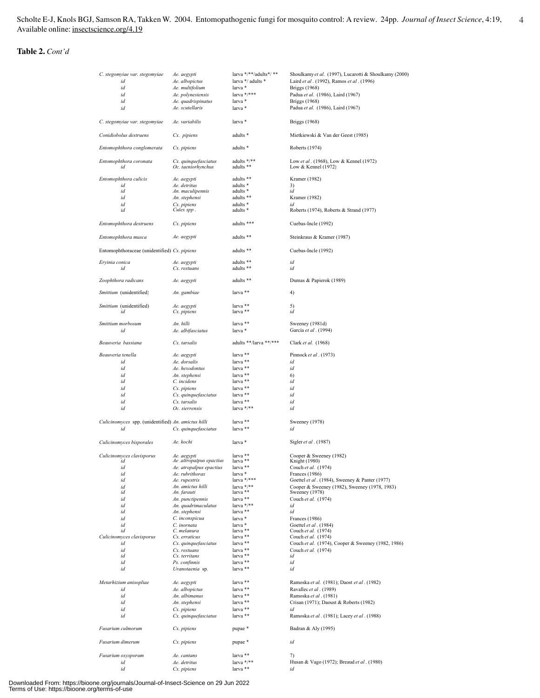Scholte E-J, Knols BGJ, Samson RA, Takken W. 2004. Entomopathogenic fungi for mosquito control: A review. 24pp. *Journal of Insect Science*, 4:19, 4 Available online: insectscience.org/4.19

# **Table 2.** *Cont'd*

| C. stegomyiae var. stegomyiae                       | Ae. aegypti                             | larva */**/adults*/ **   | Shoulkamy et al. (1997), Lucarotti & Shoulkamy (2000) |
|-----------------------------------------------------|-----------------------------------------|--------------------------|-------------------------------------------------------|
| id                                                  | Ae. albopictus                          | larva */ adults *        | Laird et al. (1992), Ramos et al. (1996)              |
| id                                                  | Ae. multifolium                         | larva *                  | <b>Briggs</b> (1968)                                  |
| id                                                  | Ae. polynesiensis                       | larva $*/***$            | Padua et al. (1986), Laird (1967)                     |
| id                                                  | Ae. quadrispinatus                      | larva *                  | Briggs (1968)                                         |
| id                                                  | Ae. scutellaris                         | larva *                  | Padua et al. (1986), Laird (1967)                     |
|                                                     |                                         |                          |                                                       |
| C. stegomyiae var. stegomyiae                       | Ae. variabilis                          | larva *                  | <b>Briggs</b> (1968)                                  |
|                                                     |                                         |                          |                                                       |
| Conidiobolus destruens                              | Cx. pipiens                             | adults *                 | Mietkiewski & Van der Geest (1985)                    |
|                                                     |                                         |                          |                                                       |
| Entomophthora conglomerata                          | Cx. pipiens                             | adults *                 | Roberts (1974)                                        |
|                                                     |                                         |                          |                                                       |
| Entomophthora coronata                              | Cx. quinquefasciatus                    | adults */**              | Low et al. (1968), Low & Kennel (1972)                |
| id                                                  | Oc. taeniorhynchus                      | adults **                | Low & Kennel (1972)                                   |
| Entomophthora culicis                               | Ae. aegypti                             | adults **                | Kramer (1982)                                         |
| id                                                  | Ae. detritus                            | adults *                 | 3)                                                    |
| id                                                  | An. maculipennis                        | adults *                 | id                                                    |
| id                                                  | An. stephensi                           | adults **                | Kramer (1982)                                         |
| id                                                  | Cx. pipiens                             | adults *                 | id                                                    |
| id                                                  | Culex spp.                              | adults *                 | Roberts (1974), Roberts & Strand (1977)               |
|                                                     |                                         |                          |                                                       |
| Entomophthora destruens                             | Cx. pipiens                             | adults ***               | Cuebas-Incle (1992)                                   |
|                                                     |                                         |                          |                                                       |
| Entomophthora musca                                 | Ae. aegypti                             | adults **                | Steinkraus & Kramer (1987)                            |
|                                                     |                                         |                          |                                                       |
| Entomophthoraceae (unidentified) Cx. pipiens        |                                         | adults **                | Cuebas-Incle (1992)                                   |
|                                                     |                                         |                          |                                                       |
| Eryinia conica                                      | Ae. aegypti                             | adults **                | id                                                    |
| id                                                  | Cx. restuans                            | adults **                | id                                                    |
|                                                     |                                         |                          |                                                       |
| Zoophthora radicans                                 | Ae. aegypti                             | adults **                | Dumas & Papierok (1989)                               |
|                                                     |                                         |                          |                                                       |
| Smittium (unidentified)                             | An. gambiae                             | larva **                 | 4)                                                    |
|                                                     |                                         |                          |                                                       |
| Smittium (unidentified)<br>id                       | Ae. aegypti                             | larva **<br>larva **     | 5)<br>id                                              |
|                                                     | Cx. pipiens                             |                          |                                                       |
| Smittium morbosum                                   | An. hilli                               | larva **                 | Sweeney (1981d)                                       |
| id                                                  | Ae. albifasciatus                       | larva *                  | García et al. (1994)                                  |
|                                                     |                                         |                          |                                                       |
| Beauveria bassiana                                  | Cx. tarsalis                            | adults **/larva **/***   | Clark et al. (1968)                                   |
|                                                     |                                         |                          |                                                       |
| Beauveria tenella                                   | Ae. aegypti                             | larva **                 | Pinnock et al. (1973)                                 |
| id                                                  | Ae. dorsalis                            | larva **                 | id                                                    |
| id                                                  | Ae. hexodontus                          | larva **                 | id                                                    |
| id                                                  | An. stephensi                           | larva **                 | 6)                                                    |
| id                                                  | C. incidens                             | larva **                 | id                                                    |
| id                                                  | Cx. pipiens                             | larva **                 | id                                                    |
| id                                                  | Cx. quinquefasciatus                    | larva **                 | id                                                    |
| id                                                  | Cx. tarsalis                            | larva **                 | id                                                    |
| id                                                  | Oc. sierrensis                          | larva $*/**$             | id                                                    |
|                                                     |                                         |                          |                                                       |
| Culicinomyces spp. (unidentified) An. amictus hilli |                                         | $larva$ **               | Sweeney (1978)                                        |
| id                                                  | Cx. quinquefasciatus                    | larva **                 | id                                                    |
|                                                     |                                         |                          |                                                       |
|                                                     | Ae. kochi                               | larva *                  | Sigler et al. (1987)                                  |
| Culicinomyces bisporales                            |                                         |                          |                                                       |
|                                                     |                                         |                          |                                                       |
| Culicinomyces clavisporus<br>id                     | Ae. aegypti<br>Ae .altropalpus epactius | larva **<br>larva **     | Cooper & Sweeney (1982)<br>Knight (1980)              |
|                                                     |                                         |                          |                                                       |
| id                                                  | Ae. atropalpus epactius                 | larva **                 | Couch et al. (1974)                                   |
| id                                                  | Ae. rubrithorax                         | larva *<br>larva $*/***$ | <b>Frances</b> (1986)                                 |
| id                                                  | Ae. rupestris                           |                          | Goettel et al. (1984), Sweeney & Panter (1977)        |
| id                                                  | An. amictus hilli<br>An. farauti        | larva */**<br>larva **   | Cooper & Sweeney (1982), Sweeney (1978, 1983)         |
| id                                                  |                                         |                          | Sweeney (1978)                                        |
| id                                                  | An. punctipennis                        | larva **                 | Couch et al. (1974)                                   |
| id                                                  | An. quadrimaculatus                     | larva */**<br>larva **   | id                                                    |
| id                                                  | An. stephensi<br>C. inconspicua         |                          | id                                                    |
| id                                                  |                                         | larva *                  | <b>Frances</b> (1986)                                 |
| id<br>id                                            | C. inornata<br>C. melanura              | larva *<br>larva **      | Goettel et al. (1984)                                 |
| Culicinomyces clavisporus                           | Cx. erraticus                           | larva **                 | Couch et al. (1974)<br>Couch et al. (1974)            |
| id                                                  | Cx. quinquefasciatus                    | $larva$ **               | Couch et al. (1974), Cooper & Sweeney (1982, 1986)    |
| id                                                  | Cx. restuans                            | $larva$ **               | Couch et al. (1974)                                   |
| id                                                  | Cx. territans                           | larva **                 | id                                                    |
| id                                                  | Ps. confinnis                           | $larva$ **               | id                                                    |
|                                                     | Uranotaenia sp.                         | larva **                 | id                                                    |
| id                                                  |                                         |                          |                                                       |
|                                                     |                                         | larva **                 |                                                       |
| Metarhizium anisopliae                              | Ae. aegypti                             |                          | Ramoska et al. (1981); Daost et al. (1982)            |
| id                                                  | Ae. albopictus                          | larva **                 | Ravallec et al. (1989)                                |
| id                                                  | An. albimanus                           | larva **                 | Ramoska et al. (1981)                                 |
| id                                                  | An. stephensi                           | larva **                 | Crisan (1971); Daoust & Roberts (1982)                |
| id                                                  | Cx. pipiens                             | larva **                 | id                                                    |
| id                                                  | Cx. quinquefasciatus                    | larva **                 | Ramoska et al. (1981); Lacey et al. (1988)            |
|                                                     |                                         |                          |                                                       |
| Fusarium culmorum                                   | Cx. pipiens                             | pupae *                  | Badran & Aly (1995)                                   |
|                                                     |                                         |                          |                                                       |
| Fusarium dimerum                                    | Cx. pipiens                             | pupae *                  | id                                                    |
|                                                     |                                         |                          |                                                       |
| Fusarium oxysporum                                  | Ae. cantans                             | $larva$ **               | 7)                                                    |
| id                                                  | Ae. detritus                            | larva $*/**$             | Husan & Vago (1972); Breaud et al. (1980)             |
| id                                                  | Cx. pipiens                             | larva **                 | id                                                    |

Downloaded From: https://bioone.org/journals/Journal-of-Insect-Science on 29 Jun 2022 Terms of Use: https://bioone.org/terms-of-use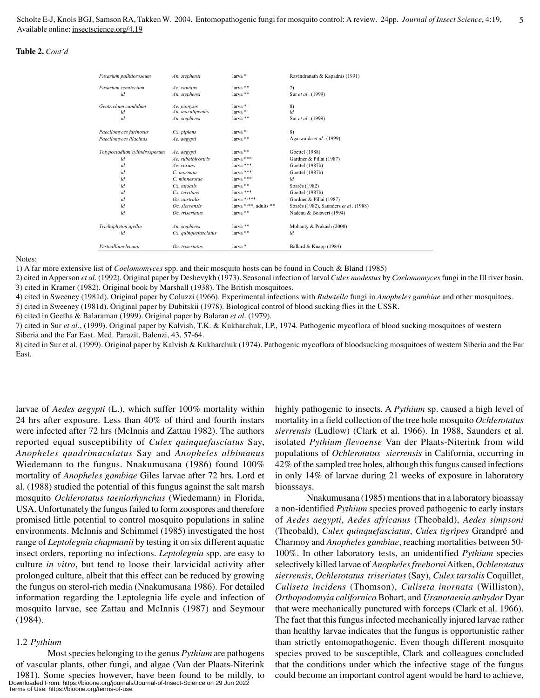#### **Table 2.** *Cont'd*

| Fusarium pallidoroseum       | An. stephensi        | larva *               | Ravindranath & Kapadnis (1991)        |
|------------------------------|----------------------|-----------------------|---------------------------------------|
| <b>Fusarium</b> semitectum   | Ae. cantans          | $larva$ **            | 7)                                    |
| id                           | An. stephensi        | larva **              | Sur et al. (1999)                     |
| Geotrichum candidum          | Ae. pionysis         | larva *               | 8)                                    |
| id                           | An. maculipennis     | larva *               | id                                    |
| id                           | An. stephensi        | $larva$ **            | Sur et al. (1999)                     |
| Paecilomyces farinosus       | Cx. pipiens          | larva *               | 8)                                    |
| Paecilomyces lilacinus       | Ae. aegypti          | $larva$ **            | Agarwalda et al. (1999)               |
| Tolypocladium cylindrosporum | Ae. aegypti          | larva **              | Goettel (1988)                        |
| id                           | Ae. subalbirostris   | larva ***             | Gardner & Pillai (1987)               |
| id                           | Ae. vexans           | larva ***             | Goettel (1987b)                       |
| id                           | C. inornata          | larva ***             | Goettel (1987b)                       |
| id                           | C. minnesotae        | larva ***             | id                                    |
| id                           | Cx. tarsalis         | larva **              | Soarés (1982)                         |
| id                           | $Cx.$ territans      | larva ***             | Goettel (1987b)                       |
| id                           | Oc. australis        | larva */***           | Gardner & Pillai (1987)               |
| id                           | Oc. sierrensis       | larva */**, adults ** | Soarés (1982), Saunders et al. (1988) |
| id                           | Oc. triseriatus      | larva **              | Nadeau & Boisvert (1994)              |
| Trichophyton ajelloi         | An. stephensi        | $larva$ **            | Mohanty & Prakash (2000)              |
| id                           | Cx. quinquefasciatus | $larva$ **            | id                                    |
| Verticillium lecanii         | Oc. triseriatus      | larva *               | Ballard & Knapp (1984)                |

#### Notes:

1) A far more extensive list of *Coelomomyces* spp. and their mosquito hosts can be found in Couch & Bland (1985)

2) cited in Apperson *et al.* (1992). Original paper by Deshevykh (1973). Seasonal infection of larval *Culex modestus* by *Coelomomyces* fungi in the Ill river basin. 3) cited in Kramer (1982). Original book by Marshall (1938). The British mosquitoes.

4) cited in Sweeney (1981d). Original paper by Coluzzi (1966). Experimental infections with *Rubetella* fungi in *Anopheles gambiae* and other mosquitoes.

5) cited in Sweeney (1981d). Original paper by Dubitskii (1978). Biological control of blood sucking flies in the USSR.

6) cited in Geetha & Balaraman (1999). Original paper by Balaran *et al.* (1979).

7) cited in Sur *et al*., (1999). Original paper by Kalvish, T.K. & Kukharchuk, I.P., 1974. Pathogenic mycoflora of blood sucking mosquitoes of western Siberia and the Far East. Med. Parazit. Balenzi, 43, 57-64.

8) cited in Sur et al. (1999). Original paper by Kalvish & Kukharchuk (1974). Pathogenic mycoflora of bloodsucking mosquitoes of western Siberia and the Far East.

larvae of *Aedes aegypti* (L.), which suffer 100% mortality within 24 hrs after exposure. Less than 40% of third and fourth instars were infected after 72 hrs (McInnis and Zattau 1982). The authors reported equal susceptibility of *Culex quinquefasciatus* Say, *Anopheles quadrimaculatus* Say and *Anopheles albimanus* Wiedemann to the fungus. Nnakumusana (1986) found 100% mortality of *Anopheles gambiae* Giles larvae after 72 hrs. Lord et al. (1988) studied the potential of this fungus against the salt marsh mosquito *Ochlerotatus taeniorhynchus* (Wiedemann) in Florida, USA. Unfortunately the fungus failed to form zoospores and therefore promised little potential to control mosquito populations in saline environments. McInnis and Schimmel (1985) investigated the host range of *Leptolegnia chapmanii* by testing it on six different aquatic insect orders, reporting no infections. *Leptolegnia* spp. are easy to culture *in vitro*, but tend to loose their larvicidal activity after prolonged culture, albeit that this effect can be reduced by growing the fungus on sterol-rich media (Nnakumusana 1986). For detailed information regarding the Leptolegnia life cycle and infection of mosquito larvae, see Zattau and McInnis (1987) and Seymour (1984).

#### 1.2 *Pythium*

Most species belonging to the genus *Pythium* are pathogens of vascular plants, other fungi, and algae (Van der Plaats-Niterink 1981). Some species however, have been found to be mildly, to Downloaded From: https://bioone.org/journals/Journal-of-Insect-Science on 29 Jun 2022 Terms of Use: https://bioone.org/terms-of-use

highly pathogenic to insects. A *Pythium* sp. caused a high level of mortality in a field collection of the tree hole mosquito *Ochlerotatus sierrensis* (Ludlow) (Clark et al. 1966). In 1988, Saunders et al. isolated *Pythium flevoense* Van der Plaats-Niterink from wild populations of *Ochlerotatus sierrensis* in California, occurring in 42% of the sampled tree holes, although this fungus caused infections in only 14% of larvae during 21 weeks of exposure in laboratory bioassays.

Nnakumusana (1985) mentions that in a laboratory bioassay a non-identified *Pythium* species proved pathogenic to early instars of *Aedes aegypti*, *Aedes africanus* (Theobald), *Aedes simpsoni* (Theobald), *Culex quinquefasciatus*, *Culex tigripes* Grandpré and Charmoy and *Anopheles gambiae*, reaching mortalities between 50- 100%. In other laboratory tests, an unidentified *Pythium* species selectively killed larvae of *Anopheles freeborni* Aitken, *Ochlerotatus sierrensis*, *Ochlerotatus triseriatus* (Say), *Culex tarsalis* Coquillet, *Culiseta incidens* (Thomson), *Culiseta inornata* (Williston), *Orthopodomyia californica* Bohart, and *Uranotaenia anhydor* Dyar that were mechanically punctured with forceps (Clark et al. 1966). The fact that this fungus infected mechanically injured larvae rather than healthy larvae indicates that the fungus is opportunistic rather than strictly entomopathogenic. Even though different mosquito species proved to be susceptible, Clark and colleagues concluded that the conditions under which the infective stage of the fungus could become an important control agent would be hard to achieve,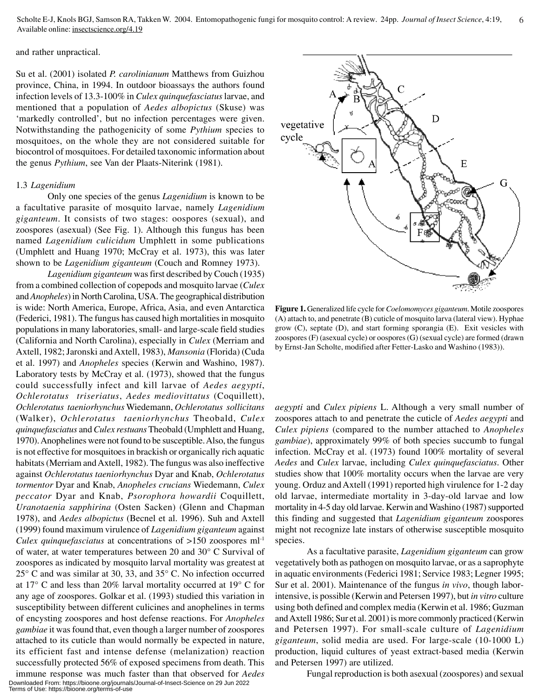Scholte E-J, Knols BGJ, Samson RA, Takken W. 2004. Entomopathogenic fungi for mosquito control: A review. 24pp. *Journal of Insect Science*, 4:19, 6 Available online: insectscience.org/4.19

and rather unpractical.

Su et al. (2001) isolated *P. carolinianum* Matthews from Guizhou province, China, in 1994. In outdoor bioassays the authors found infection levels of 13.3-100% in *Culex quinquefasciatus* larvae, and mentioned that a population of *Aedes albopictus* (Skuse) was 'markedly controlled', but no infection percentages were given. Notwithstanding the pathogenicity of some *Pythium* species to mosquitoes, on the whole they are not considered suitable for biocontrol of mosquitoes. For detailed taxonomic information about the genus *Pythium*, see Van der Plaats-Niterink (1981).

#### 1.3 *Lagenidium*

Only one species of the genus *Lagenidium* is known to be a facultative parasite of mosquito larvae, namely *Lagenidium giganteum*. It consists of two stages: oospores (sexual), and zoospores (asexual) (See Fig. 1). Although this fungus has been named *Lagenidium culicidum* Umphlett in some publications (Umphlett and Huang 1970; McCray et al. 1973), this was later shown to be *Lagenidium giganteum* (Couch and Romney 1973).

*Lagenidium giganteum* was first described by Couch (1935) from a combined collection of copepods and mosquito larvae (*Culex* and *Anopheles*) in North Carolina, USA. The geographical distribution is wide: North America, Europe, Africa, Asia, and even Antarctica (Federici, 1981). The fungus has caused high mortalities in mosquito populations in many laboratories, small- and large-scale field studies (California and North Carolina), especially in *Culex* (Merriam and Axtell, 1982; Jaronski and Axtell, 1983), *Mansonia* (Florida) (Cuda et al. 1997) and *Anopheles* species (Kerwin and Washino, 1987). Laboratory tests by McCray et al. (1973), showed that the fungus could successfully infect and kill larvae of *Aedes aegypti*, *Ochlerotatus triseriatus*, *Aedes mediovittatus* (Coquillett), *Ochlerotatus taeniorhynchus* Wiedemann, *Ochlerotatus sollicitans* (Walker), *Ochlerotatus taeniorhynchus* Theobald, *Culex quinquefasciatus* and *Culex restuans* Theobald (Umphlett and Huang, 1970). Anophelines were not found to be susceptible. Also, the fungus is not effective for mosquitoes in brackish or organically rich aquatic habitats (Merriam and Axtell, 1982). The fungus was also ineffective against *Ochlerotatus taeniorhynchus* Dyar and Knab, *Ochlerotatus tormentor* Dyar and Knab, *Anopheles crucians* Wiedemann, *Culex peccator* Dyar and Knab, *Psorophora howardii* Coquillett, *Uranotaenia sapphirina* (Osten Sacken) (Glenn and Chapman 1978), and *Aedes albopictus* (Becnel et al. 1996). Suh and Axtell (1999) found maximum virulence of *Lagenidium giganteum* against *Culex quinquefasciatus* at concentrations of >150 zoospores ml<sup>-1</sup> of water, at water temperatures between 20 and 30° C Survival of zoospores as indicated by mosquito larval mortality was greatest at 25° C and was similar at 30, 33, and 35° C. No infection occurred at 17° C and less than 20% larval mortality occurred at 19° C for any age of zoospores. Golkar et al. (1993) studied this variation in susceptibility between different culicines and anophelines in terms of encysting zoospores and host defense reactions. For *Anopheles gambiae* it was found that, even though a larger number of zoospores attached to its cuticle than would normally be expected in nature, its efficient fast and intense defense (melanization) reaction successfully protected 56% of exposed specimens from death. This immune response was much faster than that observed for *Aedes*

Downloaded From: https://bioone.org/journals/Journal-of-Insect-Science on 29 Jun 2022 Terms of Use: https://bioone.org/terms-of-use



**Figure 1.** Generalized life cycle for *Coelomomyces giganteum*. Motile zoospores (A) attach to, and penetrate (B) cuticle of mosquito larva (lateral view). Hyphae grow (C), septate (D), and start forming sporangia (E). Exit vesicles with zoospores (F) (asexual cycle) or oospores (G) (sexual cycle) are formed (drawn by Ernst-Jan Scholte, modified after Fetter-Lasko and Washino (1983)).

*aegypti* and *Culex pipiens* L. Although a very small number of zoospores attach to and penetrate the cuticle of *Aedes aegypti* and *Culex pipiens* (compared to the number attached to *Anopheles gambiae*), approximately 99% of both species succumb to fungal infection. McCray et al. (1973) found 100% mortality of several *Aedes* and *Culex* larvae, including *Culex quinquefasciatus*. Other studies show that 100% mortality occurs when the larvae are very young. Orduz and Axtell (1991) reported high virulence for 1-2 day old larvae, intermediate mortality in 3-day-old larvae and low mortality in 4-5 day old larvae. Kerwin and Washino (1987) supported this finding and suggested that *Lagenidium giganteum* zoospores might not recognize late instars of otherwise susceptible mosquito species.

As a facultative parasite, *Lagenidium giganteum* can grow vegetatively both as pathogen on mosquito larvae, or as a saprophyte in aquatic environments (Federici 1981; Service 1983; Legner 1995; Sur et al. 2001). Maintenance of the fungus *in vivo*, though laborintensive, is possible (Kerwin and Petersen 1997), but *in vitro* culture using both defined and complex media (Kerwin et al. 1986; Guzman and Axtell 1986; Sur et al. 2001) is more commonly practiced (Kerwin and Petersen 1997). For small-scale culture of *Lagenidium giganteum*, solid media are used. For large-scale (10-1000 L) production, liquid cultures of yeast extract-based media (Kerwin and Petersen 1997) are utilized.

Fungal reproduction is both asexual (zoospores) and sexual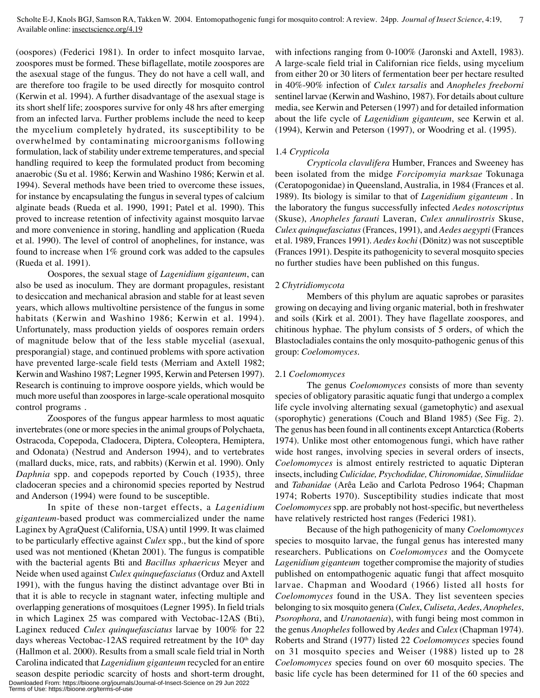Scholte E-J, Knols BGJ, Samson RA, Takken W. 2004. Entomopathogenic fungi for mosquito control: A review. 24pp. *Journal of Insect Science*, 4:19, 7 Available online: insectscience.org/4.19

(oospores) (Federici 1981). In order to infect mosquito larvae, zoospores must be formed. These biflagellate, motile zoospores are the asexual stage of the fungus. They do not have a cell wall, and are therefore too fragile to be used directly for mosquito control (Kerwin et al. 1994). A further disadvantage of the asexual stage is its short shelf life; zoospores survive for only 48 hrs after emerging from an infected larva. Further problems include the need to keep the mycelium completely hydrated, its susceptibility to be overwhelmed by contaminating microorganisms following formulation, lack of stability under extreme temperatures, and special handling required to keep the formulated product from becoming anaerobic (Su et al. 1986; Kerwin and Washino 1986; Kerwin et al. 1994). Several methods have been tried to overcome these issues, for instance by encapsulating the fungus in several types of calcium alginate beads (Rueda et al. 1990, 1991; Patel et al. 1990). This proved to increase retention of infectivity against mosquito larvae and more convenience in storing, handling and application (Rueda et al. 1990). The level of control of anophelines, for instance, was found to increase when 1% ground cork was added to the capsules (Rueda et al. 1991).

Oospores, the sexual stage of *Lagenidium giganteum*, can also be used as inoculum. They are dormant propagules, resistant to desiccation and mechanical abrasion and stable for at least seven years, which allows multivoltine persistence of the fungus in some habitats (Kerwin and Washino 1986; Kerwin et al. 1994). Unfortunately, mass production yields of oospores remain orders of magnitude below that of the less stable mycelial (asexual, presporangial) stage, and continued problems with spore activation have prevented large-scale field tests (Merriam and Axtell 1982; Kerwin and Washino 1987; Legner 1995, Kerwin and Petersen 1997). Research is continuing to improve oospore yields, which would be much more useful than zoospores in large-scale operational mosquito control programs .

Zoospores of the fungus appear harmless to most aquatic invertebrates (one or more species in the animal groups of Polychaeta, Ostracoda, Copepoda, Cladocera, Diptera, Coleoptera, Hemiptera, and Odonata) (Nestrud and Anderson 1994), and to vertebrates (mallard ducks, mice, rats, and rabbits) (Kerwin et al. 1990). Only *Daphnia* spp. and copepods reported by Couch (1935), three cladoceran species and a chironomid species reported by Nestrud and Anderson (1994) were found to be susceptible.

In spite of these non-target effects, a *Lagenidium giganteum*-based product was commercialized under the name Laginex by AgraQuest (California, USA) until 1999. It was claimed to be particularly effective against *Culex* spp., but the kind of spore used was not mentioned (Khetan 2001). The fungus is compatible with the bacterial agents Bti and *Bacillus sphaericus* Meyer and Neide when used against *Culex quinquefasciatus* (Orduz and Axtell 1991), with the fungus having the distinct advantage over Bti in that it is able to recycle in stagnant water, infecting multiple and overlapping generations of mosquitoes (Legner 1995). In field trials in which Laginex 25 was compared with Vectobac-12AS (Bti), Laginex reduced *Culex quinquefasciatus* larvae by 100% for 22 days whereas Vectobac-12AS required retreatment by the  $10<sup>th</sup>$  day (Hallmon et al. 2000). Results from a small scale field trial in North Carolina indicated that *Lagenidium giganteum* recycled for an entire season despite periodic scarcity of hosts and short-term drought,

Downloaded From: https://bioone.org/journals/Journal-of-Insect-Science on 29 Jun 2022 Terms of Use: https://bioone.org/terms-of-use

with infections ranging from 0-100% (Jaronski and Axtell, 1983). A large-scale field trial in Californian rice fields, using mycelium from either 20 or 30 liters of fermentation beer per hectare resulted in 40%-90% infection of *Culex tarsalis* and *Anopheles freeborni* sentinel larvae (Kerwin and Washino, 1987). For details about culture media, see Kerwin and Petersen (1997) and for detailed information about the life cycle of *Lagenidium giganteum*, see Kerwin et al. (1994), Kerwin and Peterson (1997), or Woodring et al. (1995).

## 1.4 *Crypticola*

*Crypticola clavulifera* Humber, Frances and Sweeney has been isolated from the midge *Forcipomyia marksae* Tokunaga (Ceratopogonidae) in Queensland, Australia, in 1984 (Frances et al. 1989). Its biology is similar to that of *Lagenidium giganteum* . In the laboratory the fungus successfully infected *Aedes notoscriptus* (Skuse), *Anopheles farauti* Laveran, *Culex annulirostris* Skuse, *Culex quinquefasciatus* (Frances, 1991), and *Aedes aegypti* (Frances et al. 1989, Frances 1991). *Aedes kochi* (Dönitz) was not susceptible (Frances 1991). Despite its pathogenicity to several mosquito species no further studies have been published on this fungus.

#### 2 *Chytridiomycota*

Members of this phylum are aquatic saprobes or parasites growing on decaying and living organic material, both in freshwater and soils (Kirk et al. 2001). They have flagellate zoospores, and chitinous hyphae. The phylum consists of 5 orders, of which the Blastocladiales contains the only mosquito-pathogenic genus of this group: *Coelomomyces*.

#### 2.1 *Coelomomyces*

The genus *Coelomomyces* consists of more than seventy species of obligatory parasitic aquatic fungi that undergo a complex life cycle involving alternating sexual (gametophytic) and asexual (sporophytic) generations (Couch and Bland 1985) (See Fig. 2). The genus has been found in all continents except Antarctica (Roberts 1974). Unlike most other entomogenous fungi, which have rather wide host ranges, involving species in several orders of insects, *Coelomomyces* is almost entirely restricted to aquatic Dipteran insects, including *Culicidae, Psychodidae, Chironomidae, Simuliidae* and *Tabanidae* (Arêa Leão and Carlota Pedroso 1964; Chapman 1974; Roberts 1970). Susceptibility studies indicate that most *Coelomomyces* spp. are probably not host-specific, but nevertheless have relatively restricted host ranges (Federici 1981).

Because of the high pathogenicity of many *Coelomomyces* species to mosquito larvae, the fungal genus has interested many researchers. Publications on *Coelomomyces* and the Oomycete *Lagenidium giganteum* together compromise the majority of studies published on entompathogenic aquatic fungi that affect mosquito larvae. Chapman and Woodard (1966) listed all hosts for *Coelomomyces* found in the USA. They list seventeen species belonging to six mosquito genera (*Culex*, *Culiseta*, *Aedes*, *Anopheles*, *Psorophora*, and *Uranotaenia*), with fungi being most common in the genus *Anopheles* followed by *Aedes* and *Culex* (Chapman 1974). Roberts and Strand (1977) listed 22 *Coelomomyces* species found on 31 mosquito species and Weiser (1988) listed up to 28 *Coelomomyces* species found on over 60 mosquito species. The basic life cycle has been determined for 11 of the 60 species and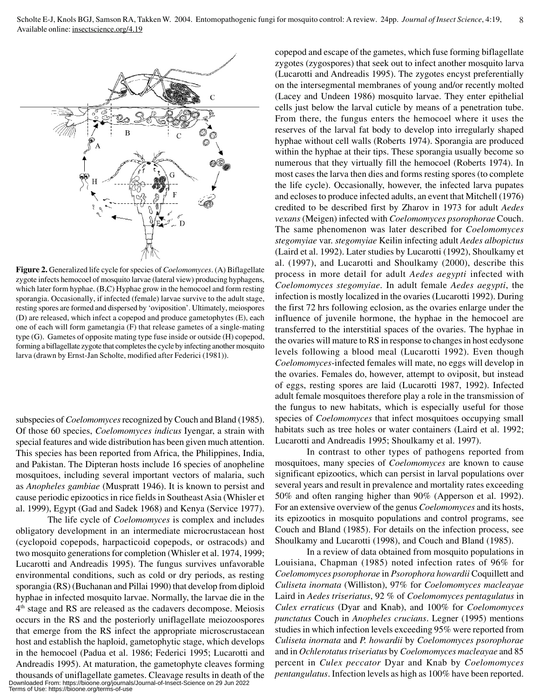

**Figure 2.** Generalized life cycle for species of *Coelomomyces*. (A) Biflagellate zygote infects hemocoel of mosquito larvae (lateral view) producing hyphagens, which later form hyphae. (B,C) Hyphae grow in the hemocoel and form resting sporangia. Occasionally, if infected (female) larvae survive to the adult stage, resting spores are formed and dispersed by 'oviposition'. Ultimately, meiospores (D) are released, which infect a copepod and produce gametophytes (E), each one of each will form gametangia (F) that release gametes of a single-mating type (G). Gametes of opposite mating type fuse inside or outside (H) copepod, forming a biflagellate zygote that completes the cycle by infecting another mosquito larva (drawn by Ernst-Jan Scholte, modified after Federici (1981)).

subspecies of *Coelomomyces* recognized by Couch and Bland (1985). Of those 60 species, *Coelomomyces indicus* Iyengar, a strain with special features and wide distribution has been given much attention. This species has been reported from Africa, the Philippines, India, and Pakistan. The Dipteran hosts include 16 species of anopheline mosquitoes, including several important vectors of malaria, such as *Anopheles gambiae* (Muspratt 1946). It is known to persist and cause periodic epizootics in rice fields in Southeast Asia (Whisler et al. 1999), Egypt (Gad and Sadek 1968) and Kenya (Service 1977).

The life cycle of *Coelomomyces* is complex and includes obligatory development in an intermediate microcrustacean host (cyclopoid copepods, harpacticoid copepods, or ostracods) and two mosquito generations for completion (Whisler et al. 1974, 1999; Lucarotti and Andreadis 1995). The fungus survives unfavorable environmental conditions, such as cold or dry periods, as resting sporangia (RS) (Buchanan and Pillai 1990) that develop from diploid hyphae in infected mosquito larvae. Normally, the larvae die in the 4th stage and RS are released as the cadavers decompose. Meiosis occurs in the RS and the posteriorly uniflagellate meiozoospores that emerge from the RS infect the appropriate microscrustacean host and establish the haploid, gametophytic stage, which develops in the hemocoel (Padua et al. 1986; Federici 1995; Lucarotti and Andreadis 1995). At maturation, the gametophyte cleaves forming thousands of uniflagellate gametes. Cleavage results in death of the Downloaded From: https://bioone.org/journals/Journal-of-Insect-Science on 29 Jun 2022 Terms of Use: https://bioone.org/terms-of-use

copepod and escape of the gametes, which fuse forming biflagellate zygotes (zygospores) that seek out to infect another mosquito larva (Lucarotti and Andreadis 1995). The zygotes encyst preferentially on the intersegmental membranes of young and/or recently molted (Lacey and Undeen 1986) mosquito larvae. They enter epithelial cells just below the larval cuticle by means of a penetration tube. From there, the fungus enters the hemocoel where it uses the reserves of the larval fat body to develop into irregularly shaped hyphae without cell walls (Roberts 1974). Sporangia are produced within the hyphae at their tips. These sporangia usually become so numerous that they virtually fill the hemocoel (Roberts 1974). In most cases the larva then dies and forms resting spores (to complete the life cycle). Occasionally, however, the infected larva pupates and ecloses to produce infected adults, an event that Mitchell (1976) credited to be described first by Zharov in 1973 for adult *Aedes vexans* (Meigen) infected with *Coelomomyces psorophorae* Couch. The same phenomenon was later described for *Coelomomyces stegomyiae* var. *stegomyiae* Keilin infecting adult *Aedes albopictus* (Laird et al. 1992). Later studies by Lucarotti (1992), Shoulkamy et al. (1997), and Lucarotti and Shoulkamy (2000), describe this process in more detail for adult *Aedes aegypti* infected with *Coelomomyces stegomyiae*. In adult female *Aedes aegypti*, the infection is mostly localized in the ovaries (Lucarotti 1992). During the first 72 hrs following eclosion, as the ovaries enlarge under the influence of juvenile hormone, the hyphae in the hemocoel are transferred to the interstitial spaces of the ovaries. The hyphae in the ovaries will mature to RS in response to changes in host ecdysone levels following a blood meal (Lucarotti 1992). Even though *Coelomomyces*-infected females will mate, no eggs will develop in the ovaries. Females do, however, attempt to oviposit, but instead of eggs, resting spores are laid (Lucarotti 1987, 1992). Infected adult female mosquitoes therefore play a role in the transmission of the fungus to new habitats, which is especially useful for those species of *Coelomomyces* that infect mosquitoes occupying small habitats such as tree holes or water containers (Laird et al. 1992; Lucarotti and Andreadis 1995; Shoulkamy et al. 1997).

In contrast to other types of pathogens reported from mosquitoes, many species of *Coelomomyces* are known to cause significant epizootics, which can persist in larval populations over several years and result in prevalence and mortality rates exceeding 50% and often ranging higher than 90% (Apperson et al. 1992). For an extensive overview of the genus *Coelomomyces* and its hosts, its epizootics in mosquito populations and control programs, see Couch and Bland (1985). For details on the infection process, see Shoulkamy and Lucarotti (1998), and Couch and Bland (1985).

In a review of data obtained from mosquito populations in Louisiana, Chapman (1985) noted infection rates of 96% for *Coelomomyces psorophorae* in *Psorophora howardii* Coquillett and *Culiseta inornata* (Williston), 97% for *Coelomomyces macleayae* Laird in *Aedes triseriatus*, 92 % of *Coelomomyces pentagulatus* in *Culex erraticus* (Dyar and Knab), and 100% for *Coelomomyces punctatus* Couch in *Anopheles crucians*. Legner (1995) mentions studies in which infection levels exceeding 95% were reported from *Culiseta inornata* and *P. howardii* by *Coelomomyces psorophorae* and in *Ochlerotatus triseriatus* by *Coelomomyces macleayae* and 85 percent in *Culex peccator* Dyar and Knab by *Coelomomyces pentangulatus*. Infection levels as high as 100% have been reported.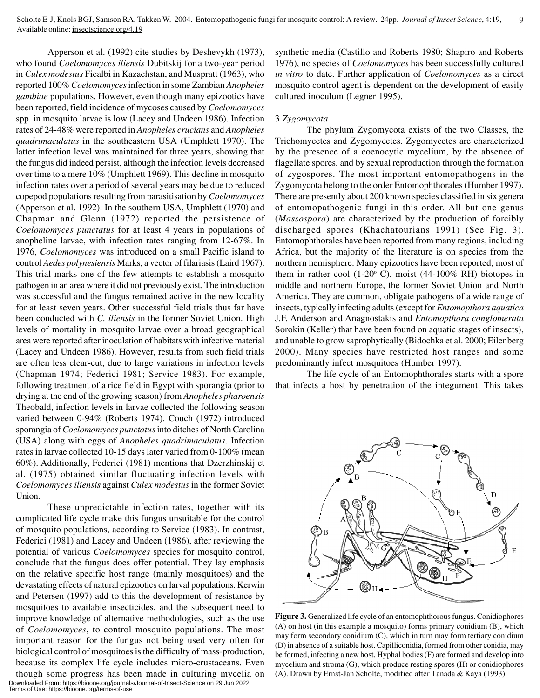Apperson et al. (1992) cite studies by Deshevykh (1973), who found *Coelomomyces iliensis* Dubitskij for a two-year period in *Culex modestus* Ficalbi in Kazachstan, and Muspratt (1963), who reported 100% *Coelomomyces* infection in some Zambian *Anopheles gambiae* populations. However, even though many epizootics have been reported, field incidence of mycoses caused by *Coelomomyces* spp. in mosquito larvae is low (Lacey and Undeen 1986). Infection rates of 24-48% were reported in *Anopheles crucians* and *Anopheles quadrimaculatus* in the southeastern USA (Umphlett 1970). The latter infection level was maintained for three years, showing that the fungus did indeed persist, although the infection levels decreased over time to a mere 10% (Umphlett 1969). This decline in mosquito infection rates over a period of several years may be due to reduced copepod populations resulting from parasitisation by *Coelomomyces* (Apperson et al. 1992). In the southern USA, Umphlett (1970) and Chapman and Glenn (1972) reported the persistence of *Coelomomyces punctatus* for at least 4 years in populations of anopheline larvae, with infection rates ranging from 12-67%. In 1976, *Coelomomyces* was introduced on a small Pacific island to control *Aedes polynesiensis* Marks, a vector of filariasis (Laird 1967). This trial marks one of the few attempts to establish a mosquito pathogen in an area where it did not previously exist. The introduction was successful and the fungus remained active in the new locality for at least seven years. Other successful field trials thus far have been conducted with *C. iliensis* in the former Soviet Union. High levels of mortality in mosquito larvae over a broad geographical area were reported after inoculation of habitats with infective material (Lacey and Undeen 1986). However, results from such field trials are often less clear-cut, due to large variations in infection levels (Chapman 1974; Federici 1981; Service 1983). For example, following treatment of a rice field in Egypt with sporangia (prior to drying at the end of the growing season) from *Anopheles pharoensis* Theobald, infection levels in larvae collected the following season varied between 0-94% (Roberts 1974). Couch (1972) introduced sporangia of *Coelomomyces punctatus* into ditches of North Carolina (USA) along with eggs of *Anopheles quadrimaculatus*. Infection rates in larvae collected 10-15 days later varied from 0-100% (mean 60%). Additionally, Federici (1981) mentions that Dzerzhinskij et al. (1975) obtained similar fluctuating infection levels with *Coelomomyces iliensis* against *Culex modestus* in the former Soviet Union.

These unpredictable infection rates, together with its complicated life cycle make this fungus unsuitable for the control of mosquito populations, according to Service (1983). In contrast, Federici (1981) and Lacey and Undeen (1986), after reviewing the potential of various *Coelomomyces* species for mosquito control, conclude that the fungus does offer potential. They lay emphasis on the relative specific host range (mainly mosquitoes) and the devastating effects of natural epizootics on larval populations. Kerwin and Petersen (1997) add to this the development of resistance by mosquitoes to available insecticides, and the subsequent need to improve knowledge of alternative methodologies, such as the use of *Coelomomyces*, to control mosquito populations. The most important reason for the fungus not being used very often for biological control of mosquitoes is the difficulty of mass-production, because its complex life cycle includes micro-crustaceans. Even

though some progress has been made in culturing mycelia on Downloaded From: https://bioone.org/journals/Journal-of-Insect-Science on 29 Jun 2022 Terms of Use: https://bioone.org/terms-of-use

synthetic media (Castillo and Roberts 1980; Shapiro and Roberts 1976), no species of *Coelomomyces* has been successfully cultured *in vitro* to date. Further application of *Coelomomyces* as a direct mosquito control agent is dependent on the development of easily cultured inoculum (Legner 1995).

# 3 *Zygomycota*

The phylum Zygomycota exists of the two Classes, the Trichomycetes and Zygomycetes. Zygomycetes are characterized by the presence of a coenocytic mycelium, by the absence of flagellate spores, and by sexual reproduction through the formation of zygospores. The most important entomopathogens in the Zygomycota belong to the order Entomophthorales (Humber 1997). There are presently about 200 known species classified in six genera of entomopathogenic fungi in this order. All but one genus (*Massospora*) are characterized by the production of forcibly discharged spores (Khachatourians 1991) (See Fig. 3). Entomophthorales have been reported from many regions, including Africa, but the majority of the literature is on species from the northern hemisphere. Many epizootics have been reported, most of them in rather cool  $(1-20^{\circ} \text{ C})$ , moist  $(44-100\% \text{ RH})$  biotopes in middle and northern Europe, the former Soviet Union and North America. They are common, obligate pathogens of a wide range of insects, typically infecting adults (except for *Entomopthora aquatica* J.F. Anderson and Anagnostakis and *Entomopthora conglomerata* Sorokin (Keller) that have been found on aquatic stages of insects), and unable to grow saprophytically (Bidochka et al. 2000; Eilenberg 2000). Many species have restricted host ranges and some predominantly infect mosquitoes (Humber 1997).

The life cycle of an Entomophthorales starts with a spore that infects a host by penetration of the integument. This takes

**Figure 3.** Generalized life cycle of an entomophthorous fungus. Conidiophores (A) on host (in this example a mosquito) forms primary conidium (B), which may form secondary conidium (C), which in turn may form tertiary conidium (D) in absence of a suitable host. Capilliconidia, formed from other conidia, may be formed, infecting a new host. Hyphal bodies (F) are formed and develop into mycelium and stroma (G), which produce resting spores (H) or conidiophores (A). Drawn by Ernst-Jan Scholte, modified after Tanada & Kaya (1993).

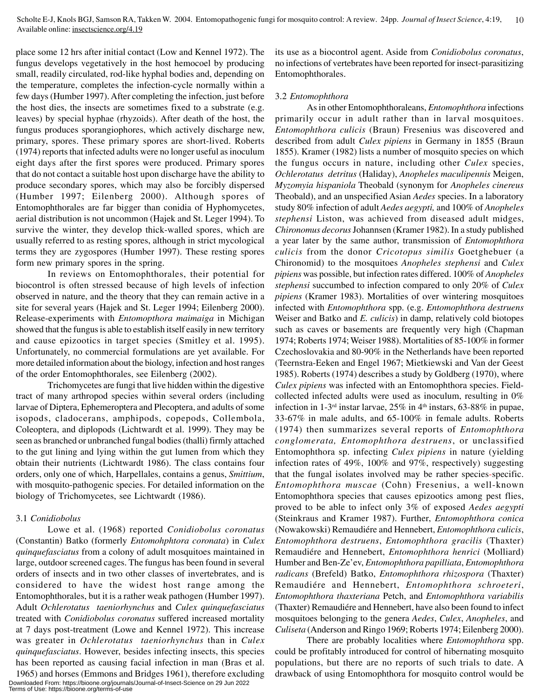place some 12 hrs after initial contact (Low and Kennel 1972). The fungus develops vegetatively in the host hemocoel by producing small, readily circulated, rod-like hyphal bodies and, depending on the temperature, completes the infection-cycle normally within a few days (Humber 1997). After completing the infection, just before the host dies, the insects are sometimes fixed to a substrate (e.g. leaves) by special hyphae (rhyzoids). After death of the host, the fungus produces sporangiophores, which actively discharge new, primary, spores. These primary spores are short-lived. Roberts (1974) reports that infected adults were no longer useful as inoculum eight days after the first spores were produced. Primary spores that do not contact a suitable host upon discharge have the ability to produce secondary spores, which may also be forcibly dispersed (Humber 1997; Eilenberg 2000). Although spores of Entomophthorales are far bigger than conidia of Hyphomycetes, aerial distribution is not uncommon (Hajek and St. Leger 1994). To survive the winter, they develop thick-walled spores, which are usually referred to as resting spores, although in strict mycological terms they are zygospores (Humber 1997). These resting spores form new primary spores in the spring.

In reviews on Entomophthorales, their potential for biocontrol is often stressed because of high levels of infection observed in nature, and the theory that they can remain active in a site for several years (Hajek and St. Leger 1994; Eilenberg 2000). Release-experiments with *Entomopthora maimaiga* in Michigan showed that the fungus is able to establish itself easily in new territory and cause epizootics in target species (Smitley et al. 1995). Unfortunately, no commercial formulations are yet available. For more detailed information about the biology, infection and host ranges of the order Entomophthorales, see Eilenberg (2002).

Trichomycetes are fungi that live hidden within the digestive tract of many arthropod species within several orders (including larvae of Diptera, Ephemeroptera and Plecoptera, and adults of some isopods, cladocerans, amphipods, copepods, Collembola, Coleoptera, and diplopods (Lichtwardt et al. 1999). They may be seen as branched or unbranched fungal bodies (thalli) firmly attached to the gut lining and lying within the gut lumen from which they obtain their nutrients (Lichtwardt 1986). The class contains four orders, only one of which, Harpellales, contains a genus, *Smittium*, with mosquito-pathogenic species. For detailed information on the biology of Trichomycetes, see Lichtwardt (1986).

# 3.1 *Conidiobolus*

Lowe et al. (1968) reported *Conidiobolus coronatus* (Constantin) Batko (formerly *Entomohphtora coronata*) in *Culex quinquefasciatus* from a colony of adult mosquitoes maintained in large, outdoor screened cages. The fungus has been found in several orders of insects and in two other classes of invertebrates, and is considered to have the widest host range among the Entomophthorales, but it is a rather weak pathogen (Humber 1997). Adult *Ochlerotatus taeniorhynchus* and *Culex quinquefasciatus* treated with *Conidiobolus coronatus* suffered increased mortality at 7 days post-treatment (Lowe and Kennel 1972). This increase was greater in *Ochlerotatus taeniorhynchus* than in *Culex quinquefasciatus*. However, besides infecting insects, this species has been reported as causing facial infection in man (Bras et al.

1965) and horses (Emmons and Bridges 1961), therefore excluding Downloaded From: https://bioone.org/journals/Journal-of-Insect-Science on 29 Jun 2022 Terms of Use: https://bioone.org/terms-of-use

its use as a biocontrol agent. Aside from *Conidiobolus coronatus*, no infections of vertebrates have been reported for insect-parasitizing Entomophthorales.

# 3.2 *Entomophthora*

As in other Entomophthoraleans, *Entomophthora* infections primarily occur in adult rather than in larval mosquitoes. *Entomophthora culicis* (Braun) Fresenius was discovered and described from adult *Culex pipiens* in Germany in 1855 (Braun 1855). Kramer (1982) lists a number of mosquito species on which the fungus occurs in nature, including other *Culex* species, *Ochlerotatus detritus* (Haliday), *Anopheles maculipennis* Meigen, *Myzomyia hispaniola* Theobald (synonym for *Anopheles cinereus* Theobald), and an unspecified Asian *Aedes* species. In a laboratory study 80% infection of adult *Aedes aegypti,* and 100% of *Anopheles stephensi* Liston, was achieved from diseased adult midges, *Chironomus decorus* Johannsen (Kramer 1982). In a study published a year later by the same author, transmission of *Entomophthora culicis* from the donor *Cricotopus similis* Goetghebuer (a Chironomid) to the mosquitoes *Anopheles stephensi* and *Culex pipiens* was possible, but infection rates differed. 100% of *Anopheles stephensi* succumbed to infection compared to only 20% of *Culex pipiens* (Kramer 1983). Mortalities of over wintering mosquitoes infected with *Entomophthora* spp. (e.g. *Entomophthora destruens* Weiser and Batko and *E. culicis*) in damp, relatively cold biotopes such as caves or basements are frequently very high (Chapman 1974; Roberts 1974; Weiser 1988). Mortalities of 85-100% in former Czechoslovakia and 80-90% in the Netherlands have been reported (Teernstra-Eeken and Engel 1967; Mietkiewski and Van der Geest 1985). Roberts (1974) describes a study by Goldberg (1970), where *Culex pipiens* was infected with an Entomophthora species. Fieldcollected infected adults were used as inoculum, resulting in 0% infection in 1-3<sup>rd</sup> instar larvae,  $25\%$  in 4<sup>th</sup> instars, 63-88% in pupae, 33-67% in male adults, and 65-100% in female adults. Roberts (1974) then summarizes several reports of *Entomophthora conglomerata, Entomophthora destruens*, or unclassified Entomophthora sp. infecting *Culex pipiens* in nature (yielding infection rates of 49%, 100% and 97%, respectively) suggesting that the fungal isolates involved may be rather species-specific. *Entomophthora muscae* (Cohn) Fresenius, a well-known Entomophthora species that causes epizootics among pest flies, proved to be able to infect only 3% of exposed *Aedes aegypti* (Steinkraus and Kramer 1987). Further, *Entomophthora conica* (Nowakowski) Remaudiére and Hennebert, *Entomophthora culicis*, *Entomophthora destruens*, *Entomophthora gracilis* (Thaxter) Remaudiére and Hennebert, *Entomophthora henrici* (Molliard) Humber and Ben-Ze'ev, *Entomophthora papilliata*, *Entomophthora radicans* (Brefeld) Batko, *Entomophthora rhizospora* (Thaxter) Remaudiére and Hennebert, *Entomophthora schroeteri*, *Entomophthora thaxteriana* Petch, and *Entomophthora variabilis* (Thaxter) Remaudiére and Hennebert, have also been found to infect mosquitoes belonging to the genera *Aedes*, *Culex*, *Anopheles*, and *Culiseta* (Anderson and Ringo 1969; Roberts 1974; Eilenberg 2000).

There are probably localities where *Entomophthora* spp. could be profitably introduced for control of hibernating mosquito populations, but there are no reports of such trials to date. A drawback of using Entomophthora for mosquito control would be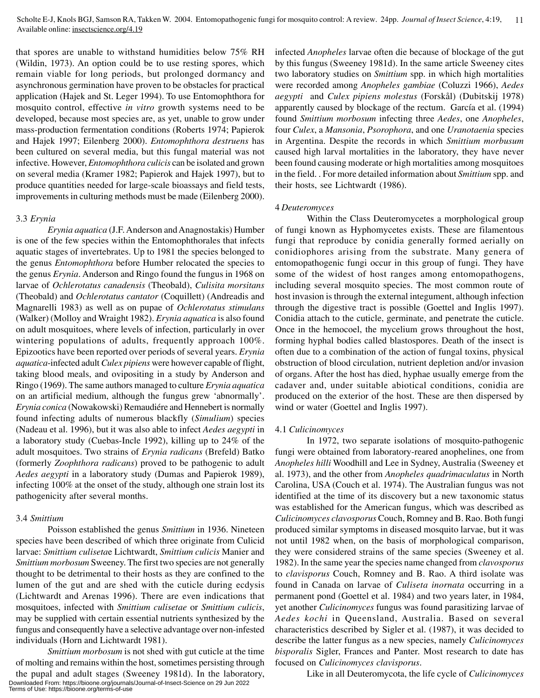Scholte E-J, Knols BGJ, Samson RA, Takken W. 2004. Entomopathogenic fungi for mosquito control: A review. 24pp. *Journal of Insect Science*, 4:19, 11 Available online: insectscience.org/4.19

that spores are unable to withstand humidities below 75% RH (Wildin, 1973). An option could be to use resting spores, which remain viable for long periods, but prolonged dormancy and asynchronous germination have proven to be obstacles for practical application (Hajek and St. Leger 1994). To use Entomophthora for mosquito control, effective *in vitro* growth systems need to be developed, because most species are, as yet, unable to grow under mass-production fermentation conditions (Roberts 1974; Papierok and Hajek 1997; Eilenberg 2000). *Entomophthora destruens* has been cultured on several media, but this fungal material was not infective. However, *Entomophthora culicis* can be isolated and grown on several media (Kramer 1982; Papierok and Hajek 1997), but to produce quantities needed for large-scale bioassays and field tests, improvements in culturing methods must be made (Eilenberg 2000).

# 3.3 *Erynia*

*Erynia aquatica* (J.F. Anderson and Anagnostakis) Humber is one of the few species within the Entomophthorales that infects aquatic stages of invertebrates. Up to 1981 the species belonged to the genus *Entomophthora* before Humber relocated the species to the genus *Erynia*. Anderson and Ringo found the fungus in 1968 on larvae of *Ochlerotatus canadensis* (Theobald), *Culisita morsitans* (Theobald) and *Ochlerotatus cantator* (Coquillett) (Andreadis and Magnarelli 1983) as well as on pupae of *Ochlerotatus stimulans* (Walker) (Molloy and Wraight 1982). *Erynia aquatica* is also found on adult mosquitoes, where levels of infection, particularly in over wintering populations of adults, frequently approach 100%. Epizootics have been reported over periods of several years. *Erynia aquatica*-infected adult *Culex pipiens* were however capable of flight, taking blood meals, and ovipositing in a study by Anderson and Ringo (1969). The same authors managed to culture *Erynia aquatica* on an artificial medium, although the fungus grew 'abnormally'. *Erynia conica* (Nowakowski) Remaudiére and Hennebert is normally found infecting adults of numerous blackfly (*Simulium*) species (Nadeau et al. 1996), but it was also able to infect *Aedes aegypti* in a laboratory study (Cuebas-Incle 1992), killing up to 24% of the adult mosquitoes. Two strains of *Erynia radicans* (Brefeld) Batko (formerly *Zoophthora radicans*) proved to be pathogenic to adult *Aedes aegypti* in a laboratory study (Dumas and Papierok 1989), infecting 100% at the onset of the study, although one strain lost its pathogenicity after several months.

#### 3.4 *Smittium*

Poisson established the genus *Smittium* in 1936. Nineteen species have been described of which three originate from Culicid larvae: *Smittium culiseta*e Lichtwardt, *Smittium culicis* Manier and *Smittium morbosum* Sweeney. The first two species are not generally thought to be detrimental to their hosts as they are confined to the lumen of the gut and are shed with the cuticle during ecdysis (Lichtwardt and Arenas 1996). There are even indications that mosquitoes, infected with *Smittium culisetae* or *Smittium culicis*, may be supplied with certain essential nutrients synthesized by the fungus and consequently have a selective advantage over non-infested individuals (Horn and Lichtwardt 1981).

*Smittium morbosum* is not shed with gut cuticle at the time of molting and remains within the host, sometimes persisting through the pupal and adult stages (Sweeney 1981d). In the laboratory, Downloaded From: https://bioone.org/journals/Journal-of-Insect-Science on 29 Jun 2022 Terms of Use: https://bioone.org/terms-of-use

infected *Anopheles* larvae often die because of blockage of the gut by this fungus (Sweeney 1981d). In the same article Sweeney cites two laboratory studies on *Smittium* spp. in which high mortalities were recorded among *Anopheles gambiae* (Coluzzi 1966), *Aedes aegypti* and *Culex pipiens molestus* (Forskål) (Dubitskij 1978) apparently caused by blockage of the rectum. García et al. (1994) found *Smittium morbosum* infecting three *Aedes*, one *Anopheles*, four *Culex*, a *Mansonia*, *Psorophora*, and one *Uranotaenia* species in Argentina. Despite the records in which *Smittium morbusum* caused high larval mortalities in the laboratory, they have never been found causing moderate or high mortalities among mosquitoes in the field. . For more detailed information about *Smittium* spp. and their hosts, see Lichtwardt (1986).

### 4 *Deuteromyces*

Within the Class Deuteromycetes a morphological group of fungi known as Hyphomycetes exists. These are filamentous fungi that reproduce by conidia generally formed aerially on conidiophores arising from the substrate. Many genera of entomopathogenic fungi occur in this group of fungi. They have some of the widest of host ranges among entomopathogens, including several mosquito species. The most common route of host invasion is through the external integument, although infection through the digestive tract is possible (Goettel and Inglis 1997). Conidia attach to the cuticle, germinate, and penetrate the cuticle. Once in the hemocoel, the mycelium grows throughout the host, forming hyphal bodies called blastospores. Death of the insect is often due to a combination of the action of fungal toxins, physical obstruction of blood circulation, nutrient depletion and/or invasion of organs. After the host has died, hyphae usually emerge from the cadaver and, under suitable abiotical conditions, conidia are produced on the exterior of the host. These are then dispersed by wind or water (Goettel and Inglis 1997).

#### 4.1 *Culicinomyces*

In 1972, two separate isolations of mosquito-pathogenic fungi were obtained from laboratory-reared anophelines, one from *Anopheles hilli* Woodhill and Lee in Sydney, Australia (Sweeney et al. 1973), and the other from *Anopheles quadrimaculatus* in North Carolina, USA (Couch et al. 1974). The Australian fungus was not identified at the time of its discovery but a new taxonomic status was established for the American fungus, which was described as *Culicinomyces clavosporus* Couch, Romney and B. Rao. Both fungi produced similar symptoms in diseased mosquito larvae, but it was not until 1982 when, on the basis of morphological comparison, they were considered strains of the same species (Sweeney et al. 1982). In the same year the species name changed from *clavosporus* to *clavisporus* Couch, Romney and B. Rao. A third isolate was found in Canada on larvae of *Culiseta inornata* occurring in a permanent pond (Goettel et al. 1984) and two years later, in 1984, yet another *Culicinomyces* fungus was found parasitizing larvae of *Aedes kochi* in Queensland, Australia. Based on several characteristics described by Sigler et al. (1987), it was decided to describe the latter fungus as a new species, namely *Culicinomyces bisporalis* Sigler, Frances and Panter. Most research to date has focused on *Culicinomyces clavisporus*.

Like in all Deuteromycota, the life cycle of *Culicinomyces*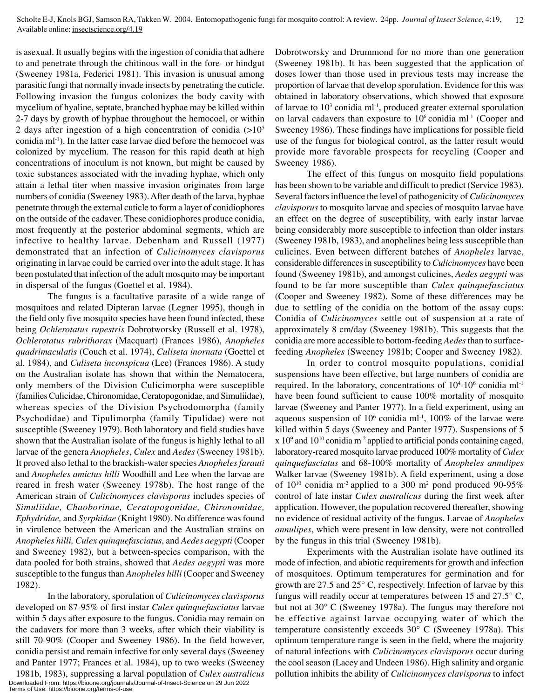Scholte E-J, Knols BGJ, Samson RA, Takken W. 2004. Entomopathogenic fungi for mosquito control: A review. 24pp. *Journal of Insect Science*, 4:19, 12 Available online: insectscience.org/4.19

is asexual. It usually begins with the ingestion of conidia that adhere to and penetrate through the chitinous wall in the fore- or hindgut (Sweeney 1981a, Federici 1981). This invasion is unusual among parasitic fungi that normally invade insects by penetrating the cuticle. Following invasion the fungus colonizes the body cavity with mycelium of hyaline, septate, branched hyphae may be killed within 2-7 days by growth of hyphae throughout the hemocoel, or within 2 days after ingestion of a high concentration of conidia  $(>10<sup>5</sup>)$ conidia ml-1). In the latter case larvae died before the hemocoel was colonized by mycelium. The reason for this rapid death at high concentrations of inoculum is not known, but might be caused by toxic substances associated with the invading hyphae, which only attain a lethal titer when massive invasion originates from large numbers of conidia (Sweeney 1983). After death of the larva, hyphae penetrate through the external cuticle to form a layer of conidiophores on the outside of the cadaver. These conidiophores produce conidia, most frequently at the posterior abdominal segments, which are infective to healthy larvae. Debenham and Russell (1977) demonstrated that an infection of *Culicinomyces clavisporus* originating in larvae could be carried over into the adult stage. It has been postulated that infection of the adult mosquito may be important in dispersal of the fungus (Goettel et al. 1984).

The fungus is a facultative parasite of a wide range of mosquitoes and related Dipteran larvae (Legner 1995), though in the field only five mosquito species have been found infected, these being *Ochlerotatus rupestris* Dobrotworsky (Russell et al. 1978), *Ochlerotatus rubrithorax* (Macquart) (Frances 1986), *Anopheles quadrimaculatis* (Couch et al. 1974), *Culiseta inornata* (Goettel et al. 1984), and *Culiseta inconspicua* (Lee) (Frances 1986). A study on the Australian isolate has shown that within the Nematocera, only members of the Division Culicimorpha were susceptible (families Culicidae, Chironomidae, Ceratopogonidae, and Simuliidae), whereas species of the Division Psychodomorpha (family Psychodidae) and Tipulimorpha (family Tipulidae) were not susceptible (Sweeney 1979). Both laboratory and field studies have shown that the Australian isolate of the fungus is highly lethal to all larvae of the genera *Anopheles*, *Culex* and *Aedes* (Sweeney 1981b). It proved also lethal to the brackish-water species *Anopheles farauti* and *Anopheles amictus hilli* Woodhill and Lee when the larvae are reared in fresh water (Sweeney 1978b). The host range of the American strain of *Culicinomyces clavisporus* includes species of *Simuliidae, Chaoborinae, Ceratopogonidae, Chironomidae, Ephydridae,* and *Syrphidae* (Knight 1980). No difference was found in virulence between the American and the Australian strains on *Anopheles hilli, Culex quinquefasciatus*, and *Aedes aegypti* (Cooper and Sweeney 1982), but a between-species comparison, with the data pooled for both strains, showed that *Aedes aegypti* was more susceptible to the fungus than *Anopheles hilli* (Cooper and Sweeney 1982).

In the laboratory, sporulation of *Culicinomyces clavisporus* developed on 87-95% of first instar *Culex quinquefasciatus* larvae within 5 days after exposure to the fungus. Conidia may remain on the cadavers for more than 3 weeks, after which their viability is still 70-90% (Cooper and Sweeney 1986). In the field however, conidia persist and remain infective for only several days (Sweeney and Panter 1977; Frances et al. 1984), up to two weeks (Sweeney 1981b, 1983), suppressing a larval population of *Culex australicus*

Downloaded From: https://bioone.org/journals/Journal-of-Insect-Science on 29 Jun 2022 Terms of Use: https://bioone.org/terms-of-use

Dobrotworsky and Drummond for no more than one generation (Sweeney 1981b). It has been suggested that the application of doses lower than those used in previous tests may increase the proportion of larvae that develop sporulation. Evidence for this was obtained in laboratory observations, which showed that exposure of larvae to 10<sup>3</sup> conidia ml<sup>-1</sup>, produced greater external sporulation on larval cadavers than exposure to  $10<sup>6</sup>$  conidia ml<sup>-1</sup> (Cooper and Sweeney 1986). These findings have implications for possible field use of the fungus for biological control, as the latter result would provide more favorable prospects for recycling (Cooper and Sweeney 1986).

The effect of this fungus on mosquito field populations has been shown to be variable and difficult to predict (Service 1983). Several factors influence the level of pathogenicity of *Culicinomyces clavisporus* to mosquito larvae and species of mosquito larvae have an effect on the degree of susceptibility, with early instar larvae being considerably more susceptible to infection than older instars (Sweeney 1981b, 1983), and anophelines being less susceptible than culicines. Even between different batches of *Anopheles* larvae, considerable differences in susceptibility to *Culicinomyces* have been found (Sweeney 1981b), and amongst culicines, *Aedes aegypti* was found to be far more susceptible than *Culex quinquefasciatus* (Cooper and Sweeney 1982). Some of these differences may be due to settling of the conidia on the bottom of the assay cups: Conidia of *Culicinomyces* settle out of suspension at a rate of approximately 8 cm/day (Sweeney 1981b). This suggests that the conidia are more accessible to bottom-feeding *Aedes* than to surfacefeeding *Anopheles* (Sweeney 1981b; Cooper and Sweeney 1982).

In order to control mosquito populations, conidial suspensions have been effective, but large numbers of conidia are required. In the laboratory, concentrations of  $10<sup>4</sup>$ -10<sup>6</sup> conidia ml<sup>-1</sup> have been found sufficient to cause 100% mortality of mosquito larvae (Sweeney and Panter 1977). In a field experiment, using an aqueous suspension of  $10^6$  conidia ml<sup>-1</sup>, 100% of the larvae were killed within 5 days (Sweeney and Panter 1977). Suspensions of 5  $x 10<sup>9</sup>$  and  $10<sup>10</sup>$  conidia m<sup>-2</sup> applied to artificial ponds containing caged, laboratory-reared mosquito larvae produced 100% mortality of *Culex quinquefasciatus* and 68-100% mortality of *Anopheles annulipes* Walker larvae (Sweeney 1981b). A field experiment, using a dose of  $10^{10}$  conidia m<sup>-2</sup> applied to a 300 m<sup>2</sup> pond produced 90-95% control of late instar *Culex australicus* during the first week after application. However, the population recovered thereafter, showing no evidence of residual activity of the fungus. Larvae of *Anopheles annulipes*, which were present in low density, were not controlled by the fungus in this trial (Sweeney 1981b).

Experiments with the Australian isolate have outlined its mode of infection, and abiotic requirements for growth and infection of mosquitoes. Optimum temperatures for germination and for growth are 27.5 and 25° C, respectively. Infection of larvae by this fungus will readily occur at temperatures between 15 and 27.5° C, but not at 30° C (Sweeney 1978a). The fungus may therefore not be effective against larvae occupying water of which the temperature consistently exceeds 30° C (Sweeney 1978a). This optimum temperature range is seen in the field, where the majority of natural infections with *Culicinomyces clavisporus* occur during the cool season (Lacey and Undeen 1986). High salinity and organic pollution inhibits the ability of *Culicinomyces clavisporus* to infect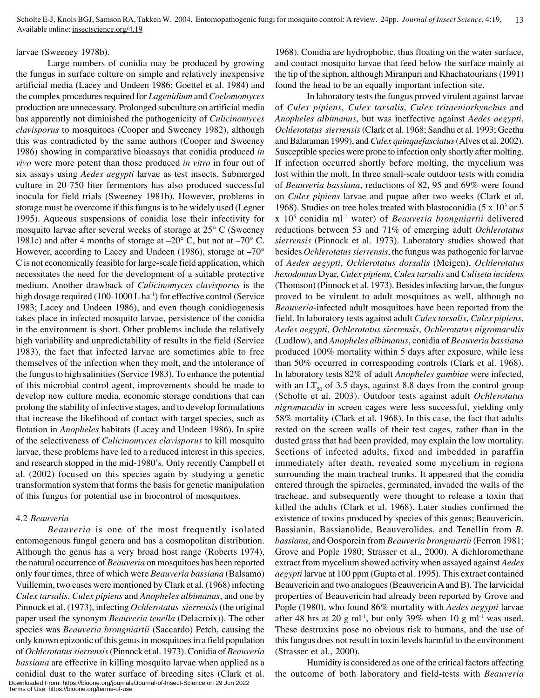Scholte E-J, Knols BGJ, Samson RA, Takken W. 2004. Entomopathogenic fungi for mosquito control: A review. 24pp. *Journal of Insect Science*, 4:19, 13 Available online: insectscience.org/4.19

#### larvae (Sweeney 1978b).

Large numbers of conidia may be produced by growing the fungus in surface culture on simple and relatively inexpensive artificial media (Lacey and Undeen 1986; Goettel et al. 1984) and the complex procedures required for *Lagenidium* and *Coelomomyces* production are unnecessary. Prolonged subculture on artificial media has apparently not diminished the pathogenicity of *Culicinomyces clavisporus* to mosquitoes (Cooper and Sweeney 1982), although this was contradicted by the same authors (Cooper and Sweeney 1986) showing in comparative bioassays that conidia produced *in vivo* were more potent than those produced *in vitro* in four out of six assays using *Aedes aegypti* larvae as test insects. Submerged culture in 20-750 liter fermentors has also produced successful inocula for field trials (Sweeney 1981b). However, problems in storage must be overcome if this fungus is to be widely used (Legner 1995). Aqueous suspensions of conidia lose their infectivity for mosquito larvae after several weeks of storage at 25° C (Sweeney 1981c) and after 4 months of storage at  $-20^{\circ}$  C, but not at  $-70^{\circ}$  C. However, according to Lacey and Undeen (1986), storage at  $-70^{\circ}$ C is not economically feasible for large-scale field application, which necessitates the need for the development of a suitable protective medium. Another drawback of *Culicinomyces clavisporus* is the high dosage required (100-1000 L ha<sup>-1</sup>) for effective control (Service 1983; Lacey and Undeen 1986), and even though conidiogenesis takes place in infected mosquito larvae, persistence of the conidia in the environment is short. Other problems include the relatively high variability and unpredictability of results in the field (Service 1983), the fact that infected larvae are sometimes able to free themselves of the infection when they molt, and the intolerance of the fungus to high salinities (Service 1983). To enhance the potential of this microbial control agent, improvements should be made to develop new culture media, economic storage conditions that can prolong the stability of infective stages, and to develop formulations that increase the likelihood of contact with target species, such as flotation in *Anopheles* habitats (Lacey and Undeen 1986). In spite of the selectiveness of *Culicinomyces clavisporus* to kill mosquito larvae, these problems have led to a reduced interest in this species, and research stopped in the mid-1980's. Only recently Campbell et al. (2002) focused on this species again by studying a genetic transformation system that forms the basis for genetic manipulation of this fungus for potential use in biocontrol of mosquitoes.

# 4.2 *Beauveria*

*Beauveria* is one of the most frequently isolated entomogenous fungal genera and has a cosmopolitan distribution. Although the genus has a very broad host range (Roberts 1974), the natural occurrence of *Beauveria* on mosquitoes has been reported only four times, three of which were *Beauveria bassiana* (Balsamo) Vuillemin, two cases were mentioned by Clark et al. (1968) infecting *Culex tarsalis*, *Culex pipiens* and *Anopheles albimanus*, and one by Pinnock et al. (1973), infecting *Ochlerotatus sierrensis* (the original paper used the synonym *Beauveria tenella* (Delacroix)). The other species was *Beauveria brongniartii* (Saccardo) Petch, causing the only known epizootic of this genus in mosquitoes in a field population of *Ochlerotatus sierrensis* (Pinnock et al. 1973). Conidia of *Beauveria bassiana* are effective in killing mosquito larvae when applied as a conidial dust to the water surface of breeding sites (Clark et al.

Downloaded From: https://bioone.org/journals/Journal-of-Insect-Science on 29 Jun 2022 Terms of Use: https://bioone.org/terms-of-use

1968). Conidia are hydrophobic, thus floating on the water surface, and contact mosquito larvae that feed below the surface mainly at the tip of the siphon, although Miranpuri and Khachatourians (1991) found the head to be an equally important infection site.

In laboratory tests the fungus proved virulent against larvae of *Culex pipiens*, *Culex tarsalis*, *Culex tritaeniorhynchus* and *Anopheles albimanus*, but was ineffective against *Aedes aegypti*, *Ochlerotatus sierrensis* (Clark et al. 1968; Sandhu et al. 1993; Geetha and Balaraman 1999), and *Culex quinquefasciatus* (Alves et al. 2002). Susceptible species were prone to infection only shortly after molting. If infection occurred shortly before molting, the mycelium was lost within the molt. In three small-scale outdoor tests with conidia of *Beauveria bassiana*, reductions of 82, 95 and 69% were found on *Culex pipiens* larvae and pupae after two weeks (Clark et al. 1968). Studies on tree holes treated with blastoconidia (5 x  $10<sup>3</sup>$  or 5 x 105 conidia ml-1 water) of *Beauveria brongniartii* delivered reductions between 53 and 71% of emerging adult *Ochlerotatus sierrensis* (Pinnock et al. 1973). Laboratory studies showed that besides *Ochlerotatus sierrensis*, the fungus was pathogenic for larvae of *Aedes aegypti*, *Ochlerotatus dorsalis* (Meigen), *Ochlerotatus hexodontus* Dyar, *Culex pipiens*, *Culex tarsalis* and *Culiseta incidens* (Thomson) (Pinnock et al. 1973). Besides infecting larvae, the fungus proved to be virulent to adult mosquitoes as well, although no *Beauveria*-infected adult mosquitoes have been reported from the field. In laboratory tests against adult *Culex tarsalis*, *Culex pipiens*, *Aedes aegypti*, *Ochlerotatus sierrensis*, *Ochlerotatus nigromaculis* (Ludlow), and *Anopheles albimanus*, conidia of *Beauveria bassiana* produced 100% mortality within 5 days after exposure, while less than 50% occurred in corresponding controls (Clark et al. 1968). In laboratory tests 82% of adult *Anopheles gambiae* were infected, with an  $LT_{50}$  of 3.5 days, against 8.8 days from the control group (Scholte et al. 2003). Outdoor tests against adult *Ochlerotatus nigromaculis* in screen cages were less successful, yielding only 58% mortality (Clark et al. 1968). In this case, the fact that adults rested on the screen walls of their test cages, rather than in the dusted grass that had been provided, may explain the low mortality. Sections of infected adults, fixed and imbedded in paraffin immediately after death, revealed some mycelium in regions surrounding the main tracheal trunks. It appeared that the conidia entered through the spiracles, germinated, invaded the walls of the tracheae, and subsequently were thought to release a toxin that killed the adults (Clark et al. 1968). Later studies confirmed the existence of toxins produced by species of this genus; Beauvericin, Bassianin, Bassianolide, Beauverolides, and Tenellin from *B. bassiana*, and Oosporein from *Beauveria brongniartii* (Ferron 1981; Grove and Pople 1980; Strasser et al., 2000). A dichloromethane extract from mycelium showed activity when assayed against *Aedes aegypti* larvae at 100 ppm (Gupta et al. 1995). This extract contained Beauvericin and two analogues (Beauvericin A and B). The larvicidal properties of Beauvericin had already been reported by Grove and Pople (1980), who found 86% mortality with *Aedes aegypti* larvae after 48 hrs at 20 g ml<sup>-1</sup>, but only 39% when 10 g ml<sup>-1</sup> was used. These destruxins pose no obvious risk to humans, and the use of this fungus does not result in toxin levels harmful to the environment (Strasser et al., 2000).

Humidity is considered as one of the critical factors affecting the outcome of both laboratory and field-tests with *Beauveria*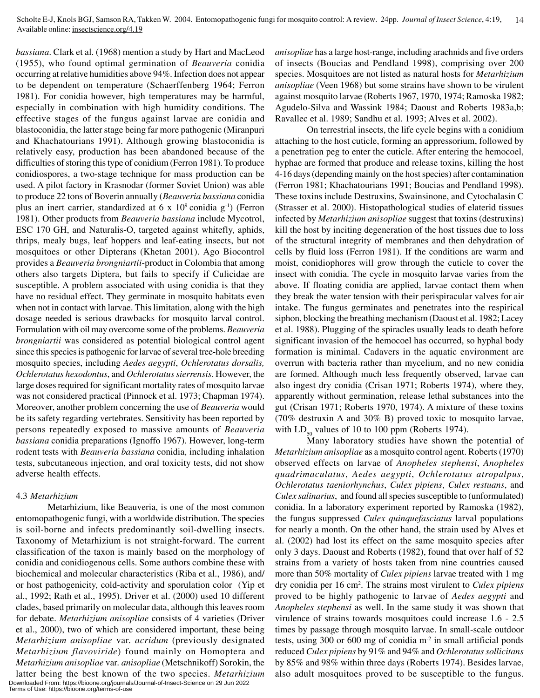Scholte E-J, Knols BGJ, Samson RA, Takken W. 2004. Entomopathogenic fungi for mosquito control: A review. 24pp. *Journal of Insect Science*, 4:19, 14 Available online: insectscience.org/4.19

*bassiana*. Clark et al. (1968) mention a study by Hart and MacLeod (1955), who found optimal germination of *Beauveria* conidia occurring at relative humidities above 94%. Infection does not appear to be dependent on temperature (Schaerffenberg 1964; Ferron 1981). For conidia however, high temperatures may be harmful, especially in combination with high humidity conditions. The effective stages of the fungus against larvae are conidia and blastoconidia, the latter stage being far more pathogenic (Miranpuri and Khachatourians 1991). Although growing blastoconidia is relatively easy, production has been abandoned because of the difficulties of storing this type of conidium (Ferron 1981). To produce conidiospores, a two-stage technique for mass production can be used. A pilot factory in Krasnodar (former Soviet Union) was able to produce 22 tons of Boverin annually (*Beauveria bassiana* conidia plus an inert carrier, standardized at 6 x  $10^9$  conidia g<sup>-1</sup>) (Ferron 1981). Other products from *Beauveria bassiana* include Mycotrol, ESC 170 GH, and Naturalis-O, targeted against whitefly, aphids, thrips, mealy bugs, leaf hoppers and leaf-eating insects, but not mosquitoes or other Dipterans (Khetan 2001). Ago Biocontrol provides a *Beauveria brongniartii*-product in Colombia that among others also targets Diptera, but fails to specify if Culicidae are susceptible. A problem associated with using conidia is that they have no residual effect. They germinate in mosquito habitats even when not in contact with larvae. This limitation, along with the high dosage needed is serious drawbacks for mosquito larval control. Formulation with oil may overcome some of the problems. *Beauveria brongniartii* was considered as potential biological control agent since this species is pathogenic for larvae of several tree-hole breeding mosquito species, including *Aedes aegypti*, *Ochlerotatus dorsalis, Ochlerotatus hexodontus*, and *Ochlerotatus sierrensis*. However, the large doses required for significant mortality rates of mosquito larvae was not considered practical (Pinnock et al. 1973; Chapman 1974). Moreover, another problem concerning the use of *Beauveria* would be its safety regarding vertebrates. Sensitivity has been reported by persons repeatedly exposed to massive amounts of *Beauveria bassiana* conidia preparations (Ignoffo 1967). However, long-term rodent tests with *Beauveria bassiana* conidia, including inhalation tests, subcutaneous injection, and oral toxicity tests, did not show adverse health effects.

# 4.3 *Metarhizium*

Metarhizium, like Beauveria, is one of the most common entomopathogenic fungi, with a worldwide distribution. The species is soil-borne and infects predominantly soil-dwelling insects. Taxonomy of Metarhizium is not straight-forward. The current classification of the taxon is mainly based on the morphology of conidia and conidiogenous cells. Some authors combine these with biochemical and molecular characteristics (Riba et al., 1986), and/ or host pathogenicity, cold-activity and sporulation color (Yip et al., 1992; Rath et al., 1995). Driver et al. (2000) used 10 different clades, based primarily on molecular data, although this leaves room for debate. *Metarhizium anisopliae* consists of 4 varieties (Driver et al., 2000), two of which are considered important, these being *Metarhizium anisopliae* var. *acridum* (previously designated *Metarhizium flavoviride*) found mainly on Homoptera and *Metarhizium anisopliae* var*. anisopliae* (Metschnikoff) Sorokin, the

latter being the best known of the two species. *Metarhizium* Downloaded From: https://bioone.org/journals/Journal-of-Insect-Science on 29 Jun 2022 Terms of Use: https://bioone.org/terms-of-use

*anisopliae* has a large host-range, including arachnids and five orders of insects (Boucias and Pendland 1998), comprising over 200 species. Mosquitoes are not listed as natural hosts for *Metarhizium anisopliae* (Veen 1968) but some strains have shown to be virulent against mosquito larvae (Roberts 1967, 1970, 1974; Ramoska 1982; Agudelo-Silva and Wassink 1984; Daoust and Roberts 1983a,b; Ravallec et al. 1989; Sandhu et al. 1993; Alves et al. 2002).

On terrestrial insects, the life cycle begins with a conidium attaching to the host cuticle, forming an appressorium, followed by a penetration peg to enter the cuticle. After entering the hemocoel, hyphae are formed that produce and release toxins, killing the host 4-16 days (depending mainly on the host species) after contamination (Ferron 1981; Khachatourians 1991; Boucias and Pendland 1998). These toxins include Destruxins, Swainsinone, and Cytochalasin C (Strasser et al. 2000). Histopathological studies of elaterid tissues infected by *Metarhizium anisopliae* suggest that toxins (destruxins) kill the host by inciting degeneration of the host tissues due to loss of the structural integrity of membranes and then dehydration of cells by fluid loss (Ferron 1981). If the conditions are warm and moist, conidiophores will grow through the cuticle to cover the insect with conidia. The cycle in mosquito larvae varies from the above. If floating conidia are applied, larvae contact them when they break the water tension with their perispiracular valves for air intake. The fungus germinates and penetrates into the respirical siphon, blocking the breathing mechanism (Daoust et al. 1982; Lacey et al. 1988). Plugging of the spiracles usually leads to death before significant invasion of the hemocoel has occurred, so hyphal body formation is minimal. Cadavers in the aquatic environment are overrun with bacteria rather than mycelium, and no new conidia are formed. Although much less frequently observed, larvae can also ingest dry conidia (Crisan 1971; Roberts 1974), where they, apparently without germination, release lethal substances into the gut (Crisan 1971; Roberts 1970, 1974). A mixture of these toxins (70% destruxin A and 30% B) proved toxic to mosquito larvae, with  $LD_{50}$  values of 10 to 100 ppm (Roberts 1974).

Many laboratory studies have shown the potential of *Metarhizium anisopliae* as a mosquito control agent. Roberts (1970) observed effects on larvae of *Anopheles stephensi*, *Anopheles quadrimaculatus*, *Aedes aegypti*, *Ochlerotatus atropalpus*, *Ochlerotatus taeniorhynchus*, *Culex pipiens*, *Culex restuans*, and *Culex salinarius*, and found all species susceptible to (unformulated) conidia. In a laboratory experiment reported by Ramoska (1982), the fungus suppressed *Culex quinquefasciatus* larval populations for nearly a month. On the other hand, the strain used by Alves et al. (2002) had lost its effect on the same mosquito species after only 3 days. Daoust and Roberts (1982), found that over half of 52 strains from a variety of hosts taken from nine countries caused more than 50% mortality of *Culex pipiens* larvae treated with 1 mg dry conidia per 16 cm2 . The strains most virulent to *Culex pipiens* proved to be highly pathogenic to larvae of *Aedes aegypti* and *Anopheles stephensi* as well. In the same study it was shown that virulence of strains towards mosquitoes could increase 1.6 - 2.5 times by passage through mosquito larvae. In small-scale outdoor tests, using 300 or 600 mg of conidia  $m<sup>2</sup>$  in small artificial ponds reduced *Culex pipiens* by 91% and 94% and *Ochlerotatus sollicitans* by 85% and 98% within three days (Roberts 1974). Besides larvae, also adult mosquitoes proved to be susceptible to the fungus.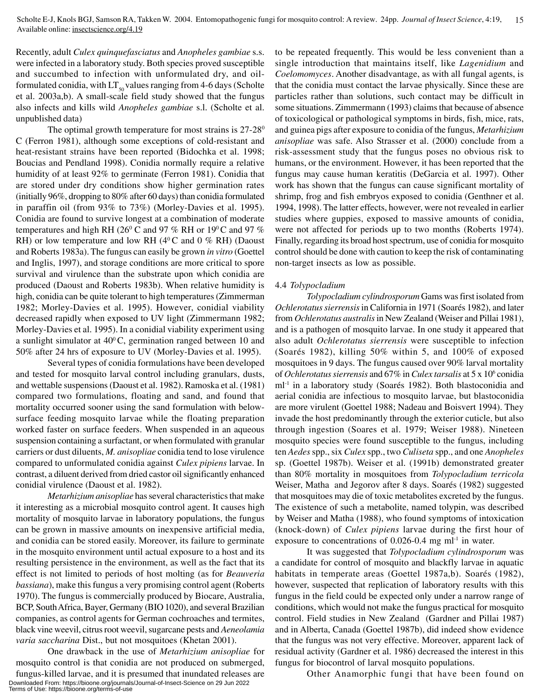Scholte E-J, Knols BGJ, Samson RA, Takken W. 2004. Entomopathogenic fungi for mosquito control: A review. 24pp. *Journal of Insect Science*, 4:19, 15 Available online: insectscience.org/4.19

Recently, adult *Culex quinquefasciatus* and *Anopheles gambiae* s.s. were infected in a laboratory study. Both species proved susceptible and succumbed to infection with unformulated dry, and oilformulated conidia, with  $LT_{50}$  values ranging from 4-6 days (Scholte et al. 2003a,b). A small-scale field study showed that the fungus also infects and kills wild *Anopheles gambiae* s.l. (Scholte et al. unpublished data)

The optimal growth temperature for most strains is  $27-28^{\circ}$ C (Ferron 1981), although some exceptions of cold-resistant and heat-resistant strains have been reported (Bidochka et al. 1998; Boucias and Pendland 1998). Conidia normally require a relative humidity of at least 92% to germinate (Ferron 1981). Conidia that are stored under dry conditions show higher germination rates (initially 96%, dropping to 80% after 60 days) than conidia formulated in paraffin oil (from 93% to 73%) (Morley-Davies et al. 1995). Conidia are found to survive longest at a combination of moderate temperatures and high RH (26<sup>0</sup> C and 97 % RH or 19<sup>0</sup> C and 97 % RH) or low temperature and low RH ( $4^{\circ}$ C and 0 % RH) (Daoust and Roberts 1983a). The fungus can easily be grown *in vitro* (Goettel and Inglis, 1997), and storage conditions are more critical to spore survival and virulence than the substrate upon which conidia are produced (Daoust and Roberts 1983b). When relative humidity is high, conidia can be quite tolerant to high temperatures (Zimmerman 1982; Morley-Davies et al. 1995). However, conidial viability decreased rapidly when exposed to UV light (Zimmermann 1982; Morley-Davies et al. 1995). In a conidial viability experiment using a sunlight simulator at  $40^{\circ}$ C, germination ranged between 10 and 50% after 24 hrs of exposure to UV (Morley-Davies et al. 1995).

Several types of conidia formulations have been developed and tested for mosquito larval control including granulars, dusts, and wettable suspensions (Daoust et al. 1982). Ramoska et al. (1981) compared two formulations, floating and sand, and found that mortality occurred sooner using the sand formulation with belowsurface feeding mosquito larvae while the floating preparation worked faster on surface feeders. When suspended in an aqueous suspension containing a surfactant, or when formulated with granular carriers or dust diluents, *M. anisopliae* conidia tend to lose virulence compared to unformulated conidia against *Culex pipiens* larvae. In contrast, a diluent derived from dried castor oil significantly enhanced conidial virulence (Daoust et al. 1982).

*Metarhizium anisopliae* has several characteristics that make it interesting as a microbial mosquito control agent. It causes high mortality of mosquito larvae in laboratory populations, the fungus can be grown in massive amounts on inexpensive artificial media, and conidia can be stored easily. Moreover, its failure to germinate in the mosquito environment until actual exposure to a host and its resulting persistence in the environment, as well as the fact that its effect is not limited to periods of host molting (as for *Beauveria bassiana*), make this fungus a very promising control agent (Roberts 1970). The fungus is commercially produced by Biocare, Australia, BCP, South Africa, Bayer, Germany (BIO 1020), and several Brazilian companies, as control agents for German cochroaches and termites, black vine weevil, citrus root weevil, sugarcane pests and *Aeneolamia varia saccharina* Dist., but not mosquitoes (Khetan 2001).

One drawback in the use of *Metarhizium anisopliae* for mosquito control is that conidia are not produced on submerged, fungus-killed larvae, and it is presumed that inundated releases are Downloaded From: https://bioone.org/journals/Journal-of-Insect-Science on 29 Jun 2022 Terms of Use: https://bioone.org/terms-of-use

to be repeated frequently. This would be less convenient than a single introduction that maintains itself, like *Lagenidium* and *Coelomomyces*. Another disadvantage, as with all fungal agents, is that the conidia must contact the larvae physically. Since these are particles rather than solutions, such contact may be difficult in some situations. Zimmermann (1993) claims that because of absence of toxicological or pathological symptoms in birds, fish, mice, rats, and guinea pigs after exposure to conidia of the fungus, *Metarhizium anisopliae* was safe. Also Strasser et al. (2000) conclude from a risk-assessment study that the fungus poses no obvious risk to humans, or the environment. However, it has been reported that the fungus may cause human keratitis (DeGarcia et al. 1997). Other work has shown that the fungus can cause significant mortality of shrimp, frog and fish embryos exposed to conidia (Genthner et al. 1994, 1998). The latter effects, however, were not revealed in earlier studies where guppies, exposed to massive amounts of conidia, were not affected for periods up to two months (Roberts 1974). Finally, regarding its broad host spectrum, use of conidia for mosquito control should be done with caution to keep the risk of contaminating non-target insects as low as possible.

#### 4.4 *Tolypocladium*

*Tolypocladium cylindrosporum* Gams was first isolated from *Ochlerotatus sierrensis* in California in 1971 (Soarés 1982), and later from *Ochlerotatus australis* in New Zealand (Weiser and Pillai 1981), and is a pathogen of mosquito larvae. In one study it appeared that also adult *Ochlerotatus sierrensis* were susceptible to infection (Soarés 1982), killing 50% within 5, and 100% of exposed mosquitoes in 9 days. The fungus caused over 90% larval mortality of *Ochlerotatus sierrensis* and 67% in *Culex tarsalis* at 5 x 106 conidia ml-1 in a laboratory study (Soarés 1982). Both blastoconidia and aerial conidia are infectious to mosquito larvae, but blastoconidia are more virulent (Goettel 1988; Nadeau and Boisvert 1994). They invade the host predominantly through the exterior cuticle, but also through ingestion (Soares et al. 1979; Weiser 1988). Nineteen mosquito species were found susceptible to the fungus, including ten *Aedes* spp., six *Culex* spp., two *Culiseta* spp., and one *Anopheles* sp. (Goettel 1987b). Weiser et al. (1991b) demonstrated greater than 80% mortality in mosquitoes from *Tolypocladium terricola* Weiser, Matha and Jegorov after 8 days. Soarés (1982) suggested that mosquitoes may die of toxic metabolites excreted by the fungus. The existence of such a metabolite, named tolypin, was described by Weiser and Matha (1988), who found symptoms of intoxication (knock-down) of *Culex pipiens* larvae during the first hour of exposure to concentrations of  $0.026$ -0.4 mg m $l$ <sup>-1</sup> in water.

It was suggested that *Tolypocladium cylindrosporum* was a candidate for control of mosquito and blackfly larvae in aquatic habitats in temperate areas (Goettel 1987a,b). Soarés (1982), however, suspected that replication of laboratory results with this fungus in the field could be expected only under a narrow range of conditions, which would not make the fungus practical for mosquito control. Field studies in New Zealand (Gardner and Pillai 1987) and in Alberta, Canada (Goettel 1987b), did indeed show evidence that the fungus was not very effective. Moreover, apparent lack of residual activity (Gardner et al. 1986) decreased the interest in this fungus for biocontrol of larval mosquito populations.

Other Anamorphic fungi that have been found on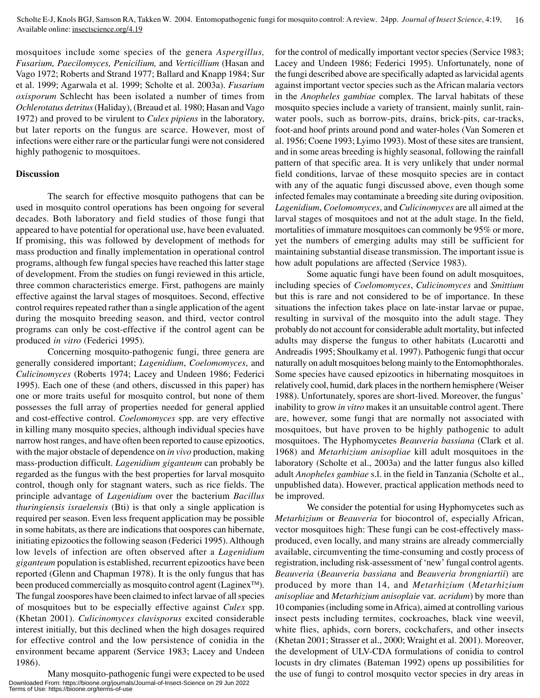Scholte E-J, Knols BGJ, Samson RA, Takken W. 2004. Entomopathogenic fungi for mosquito control: A review. 24pp. *Journal of Insect Science*, 4:19, 16 Available online: insectscience.org/4.19

mosquitoes include some species of the genera *Aspergillus, Fusarium, Paecilomyces, Penicilium,* and *Verticillium* (Hasan and Vago 1972; Roberts and Strand 1977; Ballard and Knapp 1984; Sur et al. 1999; Agarwala et al. 1999; Scholte et al. 2003a). *Fusarium oxisporum* Schlecht has been isolated a number of times from *Ochlerotatus detritus* (Haliday), (Breaud et al. 1980; Hasan and Vago 1972) and proved to be virulent to *Culex pipiens* in the laboratory, but later reports on the fungus are scarce. However, most of infections were either rare or the particular fungi were not considered highly pathogenic to mosquitoes.

### **Discussion**

The search for effective mosquito pathogens that can be used in mosquito control operations has been ongoing for several decades. Both laboratory and field studies of those fungi that appeared to have potential for operational use, have been evaluated. If promising, this was followed by development of methods for mass production and finally implementation in operational control programs, although few fungal species have reached this latter stage of development. From the studies on fungi reviewed in this article, three common characteristics emerge. First, pathogens are mainly effective against the larval stages of mosquitoes. Second, effective control requires repeated rather than a single application of the agent during the mosquito breeding season, and third, vector control programs can only be cost-effective if the control agent can be produced *in vitro* (Federici 1995).

Concerning mosquito-pathogenic fungi, three genera are generally considered important; *Lagenidium*, *Coelomomyces*, and *Culicinomyces* (Roberts 1974; Lacey and Undeen 1986; Federici 1995). Each one of these (and others, discussed in this paper) has one or more traits useful for mosquito control, but none of them possesses the full array of properties needed for general applied and cost-effective control. *Coelomomyces* spp. are very effective in killing many mosquito species, although individual species have narrow host ranges, and have often been reported to cause epizootics, with the major obstacle of dependence on *in vivo* production, making mass-production difficult. *Lagenidium giganteum* can probably be regarded as the fungus with the best properties for larval mosquito control, though only for stagnant waters, such as rice fields. The principle advantage of *Lagenidium* over the bacterium *Bacillus thuringiensis israelensis* (Bti) is that only a single application is required per season. Even less frequent application may be possible in some habitats, as there are indications that oospores can hibernate, initiating epizootics the following season (Federici 1995). Although low levels of infection are often observed after a *Lagenidium giganteum* population is established, recurrent epizootics have been reported (Glenn and Chapman 1978). It is the only fungus that has been produced commercially as mosquito control agent (Laginex<sup>TM</sup>). The fungal zoospores have been claimed to infect larvae of all species of mosquitoes but to be especially effective against *Culex* spp. (Khetan 2001). *Culicinomyces clavisporus* excited considerable interest initially, but this declined when the high dosages required for effective control and the low persistence of conidia in the environment became apparent (Service 1983; Lacey and Undeen 1986).

Many mosquito-pathogenic fungi were expected to be used Downloaded From: https://bioone.org/journals/Journal-of-Insect-Science on 29 Jun 2022 Terms of Use: https://bioone.org/terms-of-use

for the control of medically important vector species (Service 1983; Lacey and Undeen 1986; Federici 1995). Unfortunately, none of the fungi described above are specifically adapted as larvicidal agents against important vector species such as the African malaria vectors in the *Anopheles gambiae* complex. The larval habitats of these mosquito species include a variety of transient, mainly sunlit, rainwater pools, such as borrow-pits, drains, brick-pits, car-tracks, foot-and hoof prints around pond and water-holes (Van Someren et al. 1956; Coene 1993; Lyimo 1993). Most of these sites are transient, and in some areas breeding is highly seasonal, following the rainfall pattern of that specific area. It is very unlikely that under normal field conditions, larvae of these mosquito species are in contact with any of the aquatic fungi discussed above, even though some infected females may contaminate a breeding site during oviposition. *Lagenidium*, *Coelomomyces*, and *Culicinomyces* are all aimed at the larval stages of mosquitoes and not at the adult stage. In the field, mortalities of immature mosquitoes can commonly be 95% or more, yet the numbers of emerging adults may still be sufficient for maintaining substantial disease transmission. The important issue is how adult populations are affected (Service 1983).

Some aquatic fungi have been found on adult mosquitoes, including species of *Coelomomyces*, *Culicinomyces* and *Smittium* but this is rare and not considered to be of importance. In these situations the infection takes place on late-instar larvae or pupae, resulting in survival of the mosquito into the adult stage. They probably do not account for considerable adult mortality, but infected adults may disperse the fungus to other habitats (Lucarotti and Andreadis 1995; Shoulkamy et al. 1997). Pathogenic fungi that occur naturally on adult mosquitoes belong mainly to the Entomophthorales. Some species have caused epizootics in hibernating mosquitoes in relatively cool, humid, dark places in the northern hemisphere (Weiser 1988). Unfortunately, spores are short-lived. Moreover, the fungus' inability to grow *in vitro* makes it an unsuitable control agent. There are, however, some fungi that are normally not associated with mosquitoes, but have proven to be highly pathogenic to adult mosquitoes. The Hyphomycetes *Beauveria bassiana* (Clark et al. 1968) and *Metarhizium anisopliae* kill adult mosquitoes in the laboratory (Scholte et al., 2003a) and the latter fungus also killed adult *Anopheles gambiae* s.l. in the field in Tanzania (Scholte et al., unpublished data). However, practical application methods need to be improved.

We consider the potential for using Hyphomycetes such as *Metarhizium* or *Beauveria* for biocontrol of, especially African, vector mosquitoes high: These fungi can be cost-effectively massproduced, even locally, and many strains are already commercially available, circumventing the time-consuming and costly process of registration, including risk-assessment of 'new' fungal control agents. *Beauveria* (*Beauveria bassiana* and *Beauveria brongniartii*) are produced by more than 14, and *Metarhizium* (*Metarhizium anisopliae* and *Metarhizium anisoplaie* var*. acridum*) by more than 10 companies (including some in Africa), aimed at controlling various insect pests including termites, cockroaches, black vine weevil, white flies, aphids, corn borers, cockchafers, and other insects (Khetan 2001; Strasser et al., 2000; Wraight et al. 2001). Moreover, the development of ULV-CDA formulations of conidia to control locusts in dry climates (Bateman 1992) opens up possibilities for the use of fungi to control mosquito vector species in dry areas in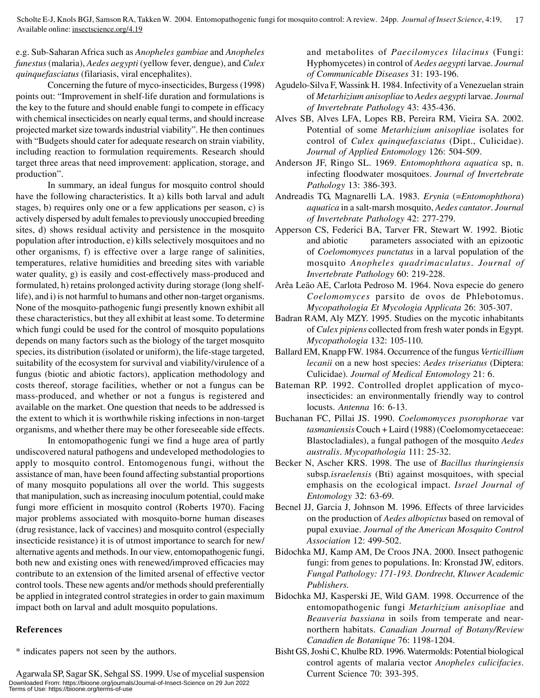Scholte E-J, Knols BGJ, Samson RA, Takken W. 2004. Entomopathogenic fungi for mosquito control: A review. 24pp. *Journal of Insect Science*, 4:19, 17 Available online: insectscience.org/4.19

e.g. Sub-Saharan Africa such as *Anopheles gambiae* and *Anopheles funestus* (malaria), *Aedes aegypti* (yellow fever, dengue), and *Culex quinquefasciatus* (filariasis, viral encephalites).

Concerning the future of myco-insecticides, Burgess (1998) points out: "Improvement in shelf-life duration and formulations is the key to the future and should enable fungi to compete in efficacy with chemical insecticides on nearly equal terms, and should increase projected market size towards industrial viability". He then continues with "Budgets should cater for adequate research on strain viability, including reaction to formulation requirements. Research should target three areas that need improvement: application, storage, and production".

In summary, an ideal fungus for mosquito control should have the following characteristics. It a) kills both larval and adult stages, b) requires only one or a few applications per season, c) is actively dispersed by adult females to previously unoccupied breeding sites, d) shows residual activity and persistence in the mosquito population after introduction, e) kills selectively mosquitoes and no other organisms, f) is effective over a large range of salinities, temperatures, relative humidities and breeding sites with variable water quality, g) is easily and cost-effectively mass-produced and formulated, h) retains prolonged activity during storage (long shelflife), and i) is not harmful to humans and other non-target organisms. None of the mosquito-pathogenic fungi presently known exhibit all these characteristics, but they all exhibit at least some. To determine which fungi could be used for the control of mosquito populations depends on many factors such as the biology of the target mosquito species, its distribution (isolated or uniform), the life-stage targeted, suitability of the ecosystem for survival and viability/virulence of a fungus (biotic and abiotic factors), application methodology and costs thereof, storage facilities, whether or not a fungus can be mass-produced, and whether or not a fungus is registered and available on the market. One question that needs to be addressed is the extent to which it is worthwhile risking infections in non-target organisms, and whether there may be other foreseeable side effects.

In entomopathogenic fungi we find a huge area of partly undiscovered natural pathogens and undeveloped methodologies to apply to mosquito control. Entomogenous fungi, without the assistance of man, have been found affecting substantial proportions of many mosquito populations all over the world. This suggests that manipulation, such as increasing inoculum potential, could make fungi more efficient in mosquito control (Roberts 1970). Facing major problems associated with mosquito-borne human diseases (drug resistance, lack of vaccines) and mosquito control (especially insecticide resistance) it is of utmost importance to search for new/ alternative agents and methods. In our view, entomopathogenic fungi, both new and existing ones with renewed/improved efficacies may contribute to an extension of the limited arsenal of effective vector control tools. These new agents and/or methods should preferentially be applied in integrated control strategies in order to gain maximum impact both on larval and adult mosquito populations.

## **References**

\* indicates papers not seen by the authors.

and metabolites of *Paecilomyces lilacinus* (Fungi: Hyphomycetes) in control of *Aedes aegypti* larvae. *Journal of Communicable Diseases* 31: 193-196.

- Agudelo-Silva F, Wassink H. 1984. Infectivity of a Venezuelan strain of *Metarhizium anisopliae* to *Aedes aegypti* larvae. *Journal of Invertebrate Pathology* 43: 435-436.
- Alves SB, Alves LFA, Lopes RB, Pereira RM, Vieira SA. 2002. Potential of some *Metarhizium anisopliae* isolates for control of *Culex quinquefasciatus* (Dipt., Culicidae). *Journal of Applied Entomology* 126: 504-509.
- Anderson JF, Ringo SL. 1969. *Entomophthora aquatica* sp, n. infecting floodwater mosquitoes. *Journal of Invertebrate Pathology* 13: 386-393.
- Andreadis TG, Magnarelli LA. 1983. *Erynia* (=*Entomophthora*) *aquatica* in a salt-marsh mosquito, *Aedes cantator*. *Journal of Invertebrate Pathology* 42: 277-279.
- Apperson CS, Federici BA, Tarver FR, Stewart W. 1992. Biotic and abiotic parameters associated with an epizootic of *Coelomomyces punctatus* in a larval population of the mosquito *Anopheles quadrimaculatus*. *Journal of Invertebrate Pathology* 60: 219-228.
- Arêa Leão AE, Carlota Pedroso M. 1964. Nova especie do genero *Coelomomyces* parsito de ovos de Phlebotomus. *Mycopathologia Et Mycologia Applicata* 26: 305-307.
- Badran RAM, Aly MZY. 1995. Studies on the mycotic inhabitants of *Culex pipiens* collected from fresh water ponds in Egypt. *Mycopathologia* 132: 105-110.
- Ballard EM, Knapp FW. 1984. Occurrence of the fungus *Verticillium lecanii* on a new host species: *Aedes triseriatus* (Diptera: Culicidae). *Journal of Medical Entomology* 21: 6.
- Bateman RP. 1992. Controlled droplet application of mycoinsecticides: an environmentally friendly way to control locusts. *Antenna* 16: 6-13.
- Buchanan FC, Pillai JS. 1990. *Coelomomyces psorophorae* var *tasmaniensis* Couch + Laird (1988) (Coelomomycetaeceae: Blastocladiales), a fungal pathogen of the mosquito *Aedes australis*. *Mycopathologia* 111: 25-32.
- Becker N, Ascher KRS. 1998. The use of *Bacillus thuringiensis* subsp*.israelensis* (Bti) against mosquitoes, with special emphasis on the ecological impact. *Israel Journal of Entomology* 32: 63-69.
- Becnel JJ, Garcia J, Johnson M. 1996. Effects of three larvicides on the production of *Aedes albopictus* based on removal of pupal exuviae. *Journal of the American Mosquito Control Association* 12: 499-502.
- Bidochka MJ, Kamp AM, De Croos JNA. 2000. Insect pathogenic fungi: from genes to populations. In: Kronstad JW, editors. *Fungal Pathology: 171-193. Dordrecht, Kluwer Academic Publishers.*
- Bidochka MJ, Kasperski JE, Wild GAM. 1998. Occurrence of the entomopathogenic fungi *Metarhizium anisopliae* and *Beauveria bassiana* in soils from temperate and nearnorthern habitats. *Canadian Journal of Botany/Review Canadien de Botanique* 76: 1198-1204.
- Bisht GS, Joshi C, Khulbe RD. 1996. Watermolds: Potential biological control agents of malaria vector *Anopheles culicifacies*. Current Science 70: 393-395.

Agarwala SP, Sagar SK, Sehgal SS. 1999. Use of mycelial suspension Downloaded From: https://bioone.org/journals/Journal-of-Insect-Science on 29 Jun 2022 Terms of Use: https://bioone.org/terms-of-use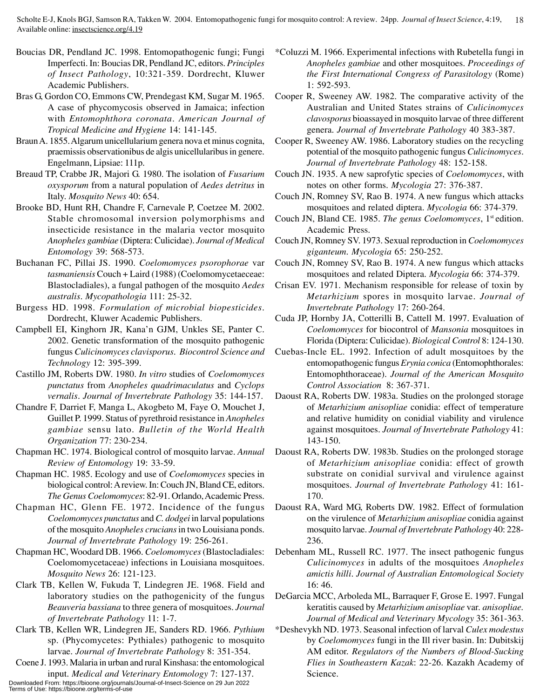Scholte E-J, Knols BGJ, Samson RA, Takken W. 2004. Entomopathogenic fungi for mosquito control: A review. 24pp. *Journal of Insect Science*, 4:19, 18 Available online: insectscience.org/4.19

- Boucias DR, Pendland JC. 1998. Entomopathogenic fungi; Fungi Imperfecti. In: Boucias DR, Pendland JC, editors. *Principles of Insect Pathology*, 10:321-359. Dordrecht, Kluwer Academic Publishers.
- Bras G, Gordon CO, Emmons CW, Prendegast KM, Sugar M. 1965. A case of phycomycosis observed in Jamaica; infection with *Entomophthora coronata*. *American Journal of Tropical Medicine and Hygiene* 14: 141-145.
- Braun A. 1855. Algarum unicellularium genera nova et minus cognita, praemissis observationibus de algis unicellularibus in genere. Engelmann, Lipsiae: 111p.
- Breaud TP, Crabbe JR, Majori G. 1980. The isolation of *Fusarium oxysporum* from a natural population of *Aedes detritus* in Italy. *Mosquito News* 40: 654.
- Brooke BD, Hunt RH, Chandre F, Carnevale P, Coetzee M. 2002. Stable chromosomal inversion polymorphisms and insecticide resistance in the malaria vector mosquito *Anopheles gambiae* (Diptera: Culicidae). *Journal of Medical Entomology* 39: 568-573.
- Buchanan FC, Pillai JS. 1990. *Coelomomyces psorophorae* var *tasmaniensis* Couch + Laird (1988) (Coelomomycetaeceae: Blastocladiales), a fungal pathogen of the mosquito *Aedes australis*. *Mycopathologia* 111: 25-32.
- Burgess HD. 1998. *Formulation of microbial biopesticides*. Dordrecht, Kluwer Academic Publishers.
- Campbell EI, Kinghorn JR, Kana'n GJM, Unkles SE, Panter C. 2002. Genetic transformation of the mosquito pathogenic fungus *Culicinomyces clavisporus*. *Biocontrol Science and Technology* 12: 395-399.
- Castillo JM, Roberts DW. 1980. *In vitro* studies of *Coelomomyces punctatus* from *Anopheles quadrimaculatus* and *Cyclops vernalis*. *Journal of Invertebrate Pathology* 35: 144-157.
- Chandre F, Darriet F, Manga L, Akogbeto M, Faye O, Mouchet J, Guillet P. 1999. Status of pyrethroid resistance in *Anopheles gambiae* sensu lato. *Bulletin of the World Health Organization* 77: 230-234.
- Chapman HC. 1974. Biological control of mosquito larvae. *Annual Review of Entomology* 19: 33-59.
- Chapman HC. 1985. Ecology and use of *Coelomomyces* species in biological control: A review. In: Couch JN, Bland CE, editors. *The Genus Coelomomyces*: 82-91. Orlando, Academic Press.
- Chapman HC, Glenn FE. 1972. Incidence of the fungus *Coelomomyces punctatus* and *C. dodgei* in larval populations of the mosquito *Anopheles crucians* in two Louisiana ponds. *Journal of Invertebrate Pathology* 19: 256-261.
- Chapman HC, Woodard DB. 1966. *Coelomomyces* (Blastocladiales: Coelomomycetaceae) infections in Louisiana mosquitoes. *Mosquito News* 26: 121-123.
- Clark TB, Kellen W, Fukuda T, Lindegren JE. 1968. Field and laboratory studies on the pathogenicity of the fungus *Beauveria bassiana* to three genera of mosquitoes. *Journal of Invertebrate Pathology* 11: 1-7.
- Clark TB, Kellen WR, Lindegren JE, Sanders RD. 1966. *Pythium* sp. (Phycomycetes: Pythiales) pathogenic to mosquito larvae. *Journal of Invertebrate Pathology* 8: 351-354.

Coene J. 1993. Malaria in urban and rural Kinshasa: the entomological input. *Medical and Veterinary Entomology* 7: 127-137.

- \*Coluzzi M. 1966. Experimental infections with Rubetella fungi in *Anopheles gambiae* and other mosquitoes. *Proceedings of the First International Congress of Parasitology* (Rome) 1: 592-593.
- Cooper R, Sweeney AW. 1982. The comparative activity of the Australian and United States strains of *Culicinomyces clavosporus* bioassayed in mosquito larvae of three different genera. *Journal of Invertebrate Pathology* 40 383-387.
- Cooper R, Sweeney AW. 1986. Laboratory studies on the recycling potential of the mosquito pathogenic fungus *Culicinomyces*. *Journal of Invertebrate Pathology* 48: 152-158.
- Couch JN. 1935. A new saprofytic species of *Coelomomyces*, with notes on other forms. *Mycologia* 27: 376-387.
- Couch JN, Romney SV, Rao B. 1974. A new fungus which attacks mosquitoes and related diptera. *Mycologia* 66: 374-379.
- Couch JN, Bland CE. 1985. *The genus Coelomomyces*, 1st edition. Academic Press.
- Couch JN, Romney SV. 1973. Sexual reproduction in *Coelomomyces giganteum*. *Mycologia* 65: 250-252.
- Couch JN, Romney SV, Rao B. 1974. A new fungus which attacks mosquitoes and related Diptera. *Mycologia* 66: 374-379.
- Crisan EV. 1971. Mechanism responsible for release of toxin by *Metarhizium* spores in mosquito larvae. *Journal of Invertebrate Pathology* 17: 260-264.
- Cuda JP, Hornby JA, Cotterilli B, Cattell M. 1997. Evaluation of *Coelomomyces* for biocontrol of *Mansonia* mosquitoes in Florida (Diptera: Culicidae). *Biological Control* 8: 124-130.
- Cuebas-Incle EL. 1992. Infection of adult mosquitoes by the entomopathogenic fungus *Erynia conica* (Entomophthorales: Entomophthoraceae). *Journal of the American Mosquito Control Association* 8: 367-371.
- Daoust RA, Roberts DW. 1983a. Studies on the prolonged storage of *Metarhizium anisopliae* conidia: effect of temperature and relative humidity on conidial viability and virulence against mosquitoes. *Journal of Invertebrate Pathology* 41: 143-150.
- Daoust RA, Roberts DW. 1983b. Studies on the prolonged storage of *Metarhizium anisopliae* conidia: effect of growth substrate on conidial survival and virulence against mosquitoes. *Journal of Invertebrate Pathology* 41: 161- 170.
- Daoust RA, Ward MG, Roberts DW. 1982. Effect of formulation on the virulence of *Metarhizium anisopliae* conidia against mosquito larvae. *Journal of Invertebrate Pathology* 40: 228- 236.
- Debenham ML, Russell RC. 1977. The insect pathogenic fungus *Culicinomyces* in adults of the mosquitoes *Anopheles amictis hilli*. *Journal of Australian Entomological Society* 16: 46.
- DeGarcia MCC, Arboleda ML, Barraquer F, Grose E. 1997. Fungal keratitis caused by *Metarhizium anisopliae* var*. anisopliae. Journal of Medical and Veterinary Mycology* 35: 361-363.
- \*Deshevykh ND. 1973. Seasonal infection of larval *Culex modestus* by *Coelomomyces* fungi in the Ill river basin. In: Dubitskij AM editor. *Regulators of the Numbers of Blood-Sucking Flies in Southeastern Kazak*: 22-26. Kazakh Academy of Science.

Downloaded From: https://bioone.org/journals/Journal-of-Insect-Science on 29 Jun 2022 Terms of Use: https://bioone.org/terms-of-use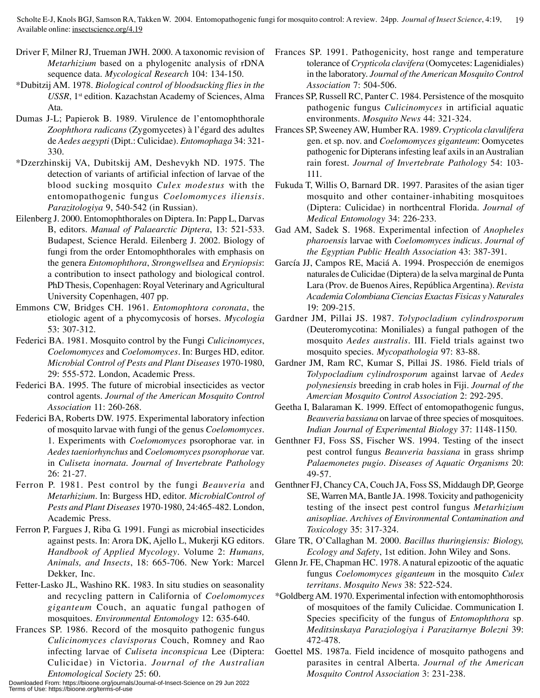Scholte E-J, Knols BGJ, Samson RA, Takken W. 2004. Entomopathogenic fungi for mosquito control: A review. 24pp. *Journal of Insect Science*, 4:19, 19 Available online: insectscience.org/4.19

- Driver F, Milner RJ, Trueman JWH. 2000. A taxonomic revision of *Metarhizium* based on a phylogenitc analysis of rDNA sequence data. *Mycological Research* 104: 134-150.
- \*Dubitzij AM. 1978. *Biological control of bloodsucking flies in the* USSR, 1<sup>st</sup> edition. Kazachstan Academy of Sciences, Alma Ata.
- Dumas J-L; Papierok B. 1989. Virulence de l'entomophthorale *Zoophthora radicans* (Zygomycetes) à l'égard des adultes de *Aedes aegypti* (Dipt.: Culicidae). *Entomophaga* 34: 321- 330.
- \*Dzerzhinskij VA, Dubitskij AM, Deshevykh ND. 1975. The detection of variants of artificial infection of larvae of the blood sucking mosquito *Culex modestus* with the entomopathogenic fungus *Coelomomyces iliensis*. *Parazitologiya* 9, 540-542 (in Russian).
- Eilenberg J. 2000. Entomophthorales on Diptera. In: Papp L, Darvas B, editors. *Manual of Palaearctic Diptera*, 13: 521-533. Budapest, Science Herald. Eilenberg J. 2002. Biology of fungi from the order Entomophthorales with emphasis on the genera *Entomophthora*, *Strongwellsea* and *Eryniopsis*: a contribution to insect pathology and biological control. PhD Thesis, Copenhagen: Royal Veterinary and Agricultural University Copenhagen, 407 pp.
- Emmons CW, Bridges CH. 1961. *Entomophtora coronata*, the etiologic agent of a phycomycosis of horses. *Mycologia* 53: 307-312.
- Federici BA. 1981. Mosquito control by the Fungi *Culicinomyces*, *Coelomomyces* and *Coelomomyces*. In: Burges HD, editor. *Microbial Control of Pests and Plant Diseases* 1970-1980, 29: 555-572. London, Academic Press.
- Federici BA. 1995. The future of microbial insecticides as vector control agents. *Journal of the American Mosquito Control Association* 11: 260-268.
- Federici BA, Roberts DW. 1975. Experimental laboratory infection of mosquito larvae with fungi of the genus *Coelomomyces*. 1. Experiments with *Coelomomyces* psorophorae var. in *Aedestaeniorhynchus* and *Coelomomyces psorophorae* var. in *Culiseta inornata*. *Journal of Invertebrate Pathology* 26: 21-27.
- Ferron P. 1981. Pest control by the fungi *Beauveria* and *Metarhizium*. In: Burgess HD, editor. *MicrobialControl of Pests and Plant Diseases* 1970-1980, 24:465-482. London, Academic Press.
- Ferron P, Fargues J, Riba G. 1991. Fungi as microbial insecticides against pests. In: Arora DK, Ajello L, Mukerji KG editors. *Handbook of Applied Mycology*. Volume 2: *Humans, Animals, and Insects*, 18: 665-706. New York: Marcel Dekker, Inc.
- Fetter-Lasko JL, Washino RK. 1983. In situ studies on seasonality and recycling pattern in California of *Coelomomyces giganteum* Couch, an aquatic fungal pathogen of mosquitoes. *Environmental Entomology* 12: 635-640.
- Frances SP. 1986. Record of the mosquito pathogenic fungus *Culicinomyces clavisporus* Couch, Romney and Rao infecting larvae of *Culiseta inconspicua* Lee (Diptera: Culicidae) in Victoria. *Journal of the Australian Entomological Society* 25: 60.

Downloaded From: https://bioone.org/journals/Journal-of-Insect-Science on 29 Jun 2022 Terms of Use: https://bioone.org/terms-of-use

- Frances SP. 1991. Pathogenicity, host range and temperature tolerance of *Crypticola clavifera* (Oomycetes: Lagenidiales) in the laboratory. *Journal of the American Mosquito Control Association* 7: 504-506.
- Frances SP, Russell RC, Panter C. 1984. Persistence of the mosquito pathogenic fungus *Culicinomyces* in artificial aquatic environments. *Mosquito News* 44: 321-324.
- Frances SP, Sweeney AW, Humber RA. 1989. *Crypticola clavulifera* gen. et sp. nov. and *Coelomomyces giganteum*: Oomycetes pathogenic for Dipterans infesting leaf axils in an Australian rain forest. *Journal of Invertebrate Pathology* 54: 103- 111.
- Fukuda T, Willis O, Barnard DR. 1997. Parasites of the asian tiger mosquito and other container-inhabiting mosquitoes (Diptera: Culicidae) in northcentral Florida. *Journal of Medical Entomology* 34: 226-233.
- Gad AM, Sadek S. 1968. Experimental infection of *Anopheles pharoensis* larvae with *Coelomomyces indicus*. *Journal of the Egyptian Public Health Association* 43: 387-391.
- García JJ, Campos RE, Maciá A. 1994. Prospección de enemigos naturales de Culicidae (Diptera) de la selva marginal de Punta Lara (Prov. de Buenos Aires, República Argentina). *Revista Academia Colombiana Ciencias Exactas Fisicas y Naturales* 19: 209-215.
- Gardner JM, Pillai JS. 1987. *Tolypocladium cylindrosporum* (Deuteromycotina: Moniliales) a fungal pathogen of the mosquito *Aedes australis*. III. Field trials against two mosquito species. *Mycopathologia* 97: 83-88.
- Gardner JM, Ram RC, Kumar S, Pillai JS. 1986. Field trials of *Tolypocladium cylindrosporum* against larvae of *Aedes polynesiensis* breeding in crab holes in Fiji. *Journal of the Amercian Mosquito Control Association* 2: 292-295.
- Geetha I, Balaraman K. 1999. Effect of entomopathogenic fungus, *Beauveria bassiana* on larvae of three species of mosquitoes. *Indian Journal of Experimental Biology* 37: 1148-1150.
- Genthner FJ, Foss SS, Fischer WS. 1994. Testing of the insect pest control fungus *Beauveria bassiana* in grass shrimp *Palaemonetes pugio*. *Diseases of Aquatic Organisms* 20: 49-57.
- Genthner FJ, Chancy CA, Couch JA, Foss SS, Middaugh DP, George SE, Warren MA, Bantle JA. 1998. Toxicity and pathogenicity testing of the insect pest control fungus *Metarhizium anisopliae. Archives of Environmental Contamination and Toxicology* 35: 317-324.
- Glare TR, O'Callaghan M. 2000. *Bacillus thuringiensis: Biology, Ecology and Safety*, 1st edition. John Wiley and Sons.
- Glenn Jr. FE, Chapman HC. 1978. A natural epizootic of the aquatic fungus *Coelomomyces giganteum* in the mosquito *Culex territans*. *Mosquito News* 38: 522-524.
- \*Goldberg AM. 1970. Experimental infection with entomophthorosis of mosquitoes of the family Culicidae. Communication I. Species specificity of the fungus of *Entomophthora* sp. *Meditsinskaya Paraziologiya i Parazitarnye Bolezni* 39: 472-478.
- Goettel MS. 1987a. Field incidence of mosquito pathogens and parasites in central Alberta. *Journal of the American Mosquito Control Association* 3: 231-238.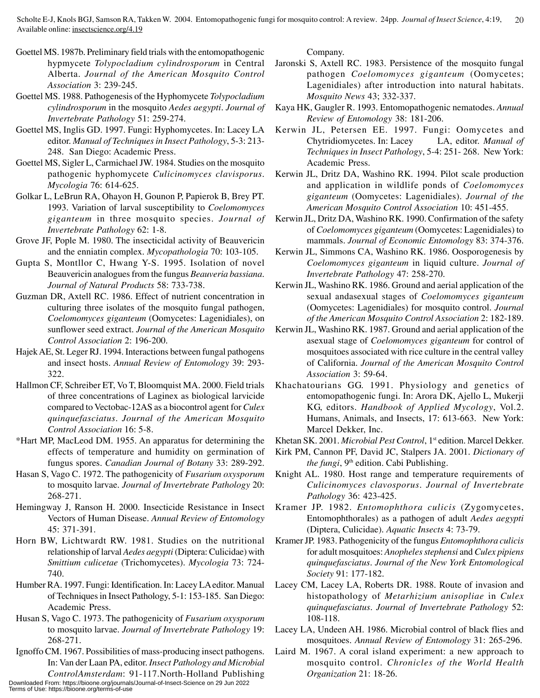Scholte E-J, Knols BGJ, Samson RA, Takken W. 2004. Entomopathogenic fungi for mosquito control: A review. 24pp. *Journal of Insect Science*, 4:19, 20 Available online: insectscience.org/4.19

- Goettel MS. 1987b. Preliminary field trials with the entomopathogenic hypmycete *Tolypocladium cylindrosporum* in Central Alberta. *Journal of the American Mosquito Control Association* 3: 239-245.
- Goettel MS. 1988. Pathogenesis of the Hyphomycete *Tolypocladium cylindrosporum* in the mosquito *Aedes aegypti*. *Journal of Invertebrate Pathology* 51: 259-274.
- Goettel MS, Inglis GD. 1997. Fungi: Hyphomycetes. In: Lacey LA editor. *Manual of Techniques in Insect Pathology*, 5-3: 213- 248. San Diego: Academic Press.
- Goettel MS, Sigler L, Carmichael JW. 1984. Studies on the mosquito pathogenic hyphomycete *Culicinomyces clavisporus*. *Mycologia* 76: 614-625.
- Golkar L, LeBrun RA, Ohayon H, Gounon P, Papierok B, Brey PT. 1993. Variation of larval susceptibility to *Coelomomyces giganteum* in three mosquito species. *Journal of Invertebrate Pathology* 62: 1-8.
- Grove JF, Pople M. 1980. The insecticidal activity of Beauvericin and the enniatin complex. *Mycopathologia* 70: 103-105.
- Gupta S, Montllor C, Hwang Y-S. 1995. Isolation of novel Beauvericin analogues from the fungus *Beauveria bassiana*. *Journal of Natural Products* 58: 733-738.
- Guzman DR, Axtell RC. 1986. Effect of nutrient concentration in culturing three isolates of the mosquito fungal pathogen, *Coelomomyces giganteum* (Oomycetes: Lagenidiales), on sunflower seed extract. *Journal of the American Mosquito Control Association* 2: 196-200.
- Hajek AE, St. Leger RJ. 1994. Interactions between fungal pathogens and insect hosts. *Annual Review of Entomology* 39: 293- 322.
- Hallmon CF, Schreiber ET, Vo T, Bloomquist MA. 2000. Field trials of three concentrations of Laginex as biological larvicide compared to Vectobac-12AS as a biocontrol agent for *Culex quinquefasciatus*. *Journal of the American Mosquito Control Association* 16: 5-8.
- \*Hart MP, MacLeod DM. 1955. An apparatus for determining the effects of temperature and humidity on germination of fungus spores. *Canadian Journal of Botany* 33: 289-292.
- Hasan S, Vago C. 1972. The pathogenicity of *Fusarium oxysporum* to mosquito larvae. *Journal of Invertebrate Pathology* 20: 268-271.
- Hemingway J, Ranson H. 2000. Insecticide Resistance in Insect Vectors of Human Disease. *Annual Review of Entomology* 45: 371-391.
- Horn BW, Lichtwardt RW. 1981. Studies on the nutritional relationship of larval *Aedes aegypti* (Diptera: Culicidae) with *Smittium culicetae* (Trichomycetes). *Mycologia* 73: 724- 740.
- Humber RA. 1997. Fungi: Identification. In: Lacey LA editor. Manual of Techniques in Insect Pathology, 5-1: 153-185. San Diego: Academic Press.
- Husan S, Vago C. 1973. The pathogenicity of *Fusarium oxysporum* to mosquito larvae. *Journal of Invertebrate Pathology* 19: 268-271.
- Ignoffo CM. 1967. Possibilities of mass-producing insect pathogens. In: Van der Laan PA, editor. *Insect Pathology and Microbial ControlAmsterdam*: 91-117.North-Holland Publishing Downloaded From: https://bioone.org/journals/Journal-of-Insect-Science on 29 Jun 2022 Terms of Use: https://bioone.org/terms-of-use

Company.

- Jaronski S, Axtell RC. 1983. Persistence of the mosquito fungal pathogen *Coelomomyces giganteum* (Oomycetes; Lagenidiales) after introduction into natural habitats. *Mosquito News* 43; 332-337.
- Kaya HK, Gaugler R. 1993. Entomopathogenic nematodes. *Annual Review of Entomology* 38: 181-206.
- Kerwin JL, Petersen EE. 1997. Fungi: Oomycetes and Chytridiomycetes. In: Lacey LA, editor. *Manual of Techniques in Insect Pathology*, 5-4: 251- 268. New York: Academic Press.
- Kerwin JL, Dritz DA, Washino RK. 1994. Pilot scale production and application in wildlife ponds of *Coelomomyces giganteum* (Oomycetes: Lagenidiales). *Journal of the American Mosquito Control Association* 10: 451-455.
- Kerwin JL, Dritz DA, Washino RK. 1990. Confirmation of the safety of *Coelomomyces giganteum* (Oomycetes: Lagenidiales) to mammals. *Journal of Economic Entomology* 83: 374-376.
- Kerwin JL, Simmons CA, Washino RK. 1986. Oosporogenesis by *Coelomomyces giganteum* in liquid culture. *Journal of Invertebrate Pathology* 47: 258-270.
- Kerwin JL, Washino RK. 1986. Ground and aerial application of the sexual andasexual stages of *Coelomomyces giganteum* (Oomycetes: Lagenidiales) for mosquito control. *Journal of the American Mosquito Control Association* 2: 182-189.
- Kerwin JL, Washino RK. 1987. Ground and aerial application of the asexual stage of *Coelomomyces giganteum* for control of mosquitoes associated with rice culture in the central valley of California. *Journal of the American Mosquito Control Association* 3: 59-64.
- Khachatourians GG. 1991. Physiology and genetics of entomopathogenic fungi. In: Arora DK, Ajello L, Mukerji KG, editors. *Handbook of Applied Mycology*, Vol.2. Humans, Animals, and Insects, 17: 613-663. New York: Marcel Dekker, Inc.
- Khetan SK. 2001. *Microbial Pest Control*, 1<sup>st</sup> edition. Marcel Dekker.
- Kirk PM, Cannon PF, David JC, Stalpers JA. 2001. *Dictionary of the fungi*, 9<sup>th</sup> edition. Cabi Publishing.
- Knight AL. 1980. Host range and temperature requirements of *Culicinomyces clavosporus*. *Journal of Invertebrate Pathology* 36: 423-425.
- Kramer JP. 1982. *Entomophthora culicis* (Zygomycetes, Entomophthorales) as a pathogen of adult *Aedes aegypti* (Diptera, Culicidae). *Aquatic Insects* 4: 73-79.
- Kramer JP. 1983. Pathogenicity of the fungus *Entomophthora culicis* for adult mosquitoes: *Anopheles stephensi* and *Culex pipiens quinquefasciatus*. *Journal of the New York Entomological Society* 91: 177-182.
- Lacey CM, Lacey LA, Roberts DR. 1988. Route of invasion and histopathology of *Metarhizium anisopliae* in *Culex quinquefasciatus*. *Journal of Invertebrate Pathology* 52: 108-118.
- Lacey LA, Undeen AH. 1986. Microbial control of black flies and mosquitoes. *Annual Review of Entomology* 31: 265-296.
- Laird M. 1967. A coral island experiment: a new approach to mosquito control. *Chronicles of the World Health Organization* 21: 18-26.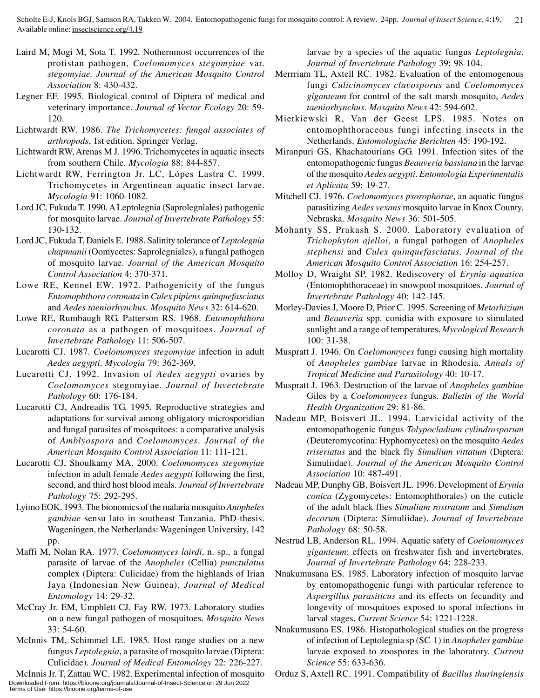Scholte E-J, Knols BGJ, Samson RA, Takken W. 2004. Entomopathogenic fungi for mosquito control: A review. 24pp. *Journal of Insect Science*, 4:19, 21 Available online: insectscience.org/4.19

Laird M, Mogi M, Sota T. 1992. Nothernmost occurrences of the protistan pathogen, *Coelomomyces stegomyiae* var. *stegomyiae. Journal of the American Mosquito Control Association* 8: 430-432.

Legner EF. 1995. Biological control of Diptera of medical and veterinary importance. *Journal of Vector Ecology* 20: 59- 120.

Lichtwardt RW. 1986. *The Trichomycetes: fungal associates of arthropods*, 1st edition. Springer Verlag.

- Lichtwardt RW, Arenas M J. 1996. Trichomycetes in aquatic insects from southern Chile. *Mycologia* 88: 844-857.
- Lichtwardt RW, Ferrington Jr. LC, Lópes Lastra C. 1999. Trichomycetes in Argentinean aquatic insect larvae. *Mycologia* 91: 1060-1082.
- Lord JC, Fukuda T. 1990. A Leptolegnia (Saprolegniales) pathogenic for mosquito larvae. *Journal of Invertebrate Pathology* 55: 130-132.
- Lord JC, Fukuda T, Daniels E. 1988. Salinity tolerance of *Leptolegnia chapmanii* (Oomycetes: Saprolegniales), a fungal pathogen of mosquito larvae. *Journal of the American Mosquito Control Association* 4: 370-371.
- Lowe RE, Kennel EW. 1972. Pathogenicity of the fungus *Entomophthora coronata* in *Culex pipiens quinquefasciatus* and *Aedes taeniorhynchus*. *Mosquito News* 32: 614-620.
- Lowe RE, Rumbaugh RG, Patterson RS. 1968. *Entomophthora coronata* as a pathogen of mosquitoes. *Journal of Invertebrate Pathology* 11: 506-507.
- Lucarotti CJ. 1987. *Coelomomyces stegomyiae* infection in adult *Aedes aegypti*. *Mycologia* 79: 362-369.
- Lucarotti CJ. 1992. Invasion of *Aedes aegypti* ovaries by *Coelomomyces* stegomyiae. *Journal of Invertebrate Pathology* 60: 176-184.
- Lucarotti CJ, Andreadis TG. 1995. Reproductive strategies and adaptations for survival among obligatory microsporidian and fungal parasites of mosquitoes: a comparative analysis of *Amblyospora* and *Coelomomyces*. *Journal of the American Mosquito Control Association* 11: 111-121.
- Lucarotti CJ, Shoulkamy MA. 2000. *Coelomomyces stegomyiae* infection in adult female *Aedes aegypti* following the first, second, and third host blood meals. *Journal of Invertebrate Pathology* 75: 292-295.
- Lyimo EOK. 1993. The bionomics of the malaria mosquito *Anopheles gambiae* sensu lato in southeast Tanzania. PhD-thesis. Wageningen, the Netherlands: Wageningen University, 142 pp.
- Maffi M, Nolan RA. 1977. *Coelomomyces lairdi*, n. sp., a fungal parasite of larvae of the *Anopheles* (Cellia) *punctulatus* complex (Diptera: Culicidae) from the highlands of Irian Jaya (Indonesian New Guinea). *Journal of Medical Entomology* 14: 29-32.
- McCray Jr. EM, Umphlett CJ, Fay RW. 1973. Laboratory studies on a new fungal pathogen of mosquitoes. *Mosquito News* 33: 54-60.
- McInnis TM, Schimmel LE. 1985. Host range studies on a new fungus *Leptolegnia*, a parasite of mosquito larvae (Diptera: Culicidae). *Journal of Medical Entomology* 22: 226-227.

McInnis Jr. T, Zattau WC. 1982. Experimental infection of mosquito Downloaded From: https://bioone.org/journals/Journal-of-Insect-Science on 29 Jun 2022 Terms of Use: https://bioone.org/terms-of-use

larvae by a species of the aquatic fungus *Leptolegnia*. *Journal of Invertebrate Pathology* 39: 98-104.

- Merrriam TL, Axtell RC. 1982. Evaluation of the entomogenous fungi *Culicinomyces clavosporus* and *Coelomomyces giganteum* for control of the salt marsh mosquito, *Aedes taeniorhynchus*. *Mosquito News* 42: 594-602.
- Mietkiewski R, Van der Geest LPS. 1985. Notes on entomophthoraceous fungi infecting insects in the Netherlands. *Entomologische Berichten* 45: 190-192.
- Miranpuri GS, Khachatourians GG. 1991. Infection sites of the entomopathogenic fungus *Beauveria bassiana* in the larvae of the mosquito *Aedes aegypti*. *Entomologia Experimentalis et Aplicata* 59: 19-27.
- Mitchell CJ. 1976. *Coelomomyces psorophorae*, an aquatic fungus parasitizing *Aedes vexans* mosquito larvae in Knox County, Nebraska. *Mosquito News* 36: 501-505.
- Mohanty SS, Prakash S. 2000. Laboratory evaluation of *Trichophyton ajelloi*, a fungal pathogen of *Anopheles stephensi* and *Culex quinquefasciatus*. *Journal of the American Mosquito Control Association* 16: 254-257.
- Molloy D, Wraight SP. 1982. Rediscovery of *Erynia aquatica* (Entomophthoraceae) in snowpool mosquitoes. *Journal of Invertebrate Pathology* 40: 142-145.
- Morley-Davies J, Moore D, Prior C. 1995. Screening of *Metarhizium* and *Beauveria* spp. conidia with exposure to simulated sunlight and a range of temperatures. *Mycological Research* 100: 31-38.
- Muspratt J. 1946. On *Coelomomyces* fungi causing high mortality of *Anopheles gambiae* larvae in Rhodesia. *Annals of Tropical Medicine and Parasitology* 40: 10-17.
- Muspratt J. 1963. Destruction of the larvae of *Anopheles gambiae* Giles by a *Coelomomyces* fungus. *Bulletin of the World Health Organization* 29: 81-86.
- Nadeau MP, Boisvert JL. 1994. Larvicidal activity of the entomopathogenic fungus *Tolypocladium cylindrosporum* (Deuteromycotina: Hyphomycetes) on the mosquito *Aedes triseriatus* and the black fly *Simulium vittatum* (Diptera: Simuliidae). *Journal of the American Mosquito Control Association* 10: 487-491.
- Nadeau MP, Dunphy GB, Boisvert JL. 1996. Development of *Erynia conica* (Zygomycetes: Entomophthorales) on the cuticle of the adult black flies *Simulium rostratum* and *Simulium decorum* (Diptera: Simuliidae). *Journal of Invertebrate Pathology* 68: 50-58.
- Nestrud LB, Anderson RL. 1994. Aquatic safety of *Coelomomyces giganteum*: effects on freshwater fish and invertebrates. *Journal of Invertebrate Pathology* 64: 228-233.
- Nnakumusana ES. 1985. Laboratory infection of mosquito larvae by entomopathogenic fungi with particular reference to *Aspergillus parasiticus* and its effects on fecundity and longevity of mosquitoes exposed to sporal infections in larval stages. *Current Science* 54: 1221-1228.
- Nnakumusana ES. 1986. Histopathological studies on the progress of infection of Leptolegnia sp (SC-1) in *Anopheles gambiae* larvae exposed to zoospores in the laboratory. *Current Science* 55: 633-636.
- Orduz S, Axtell RC. 1991. Compatibility of *Bacillus thuringiensis*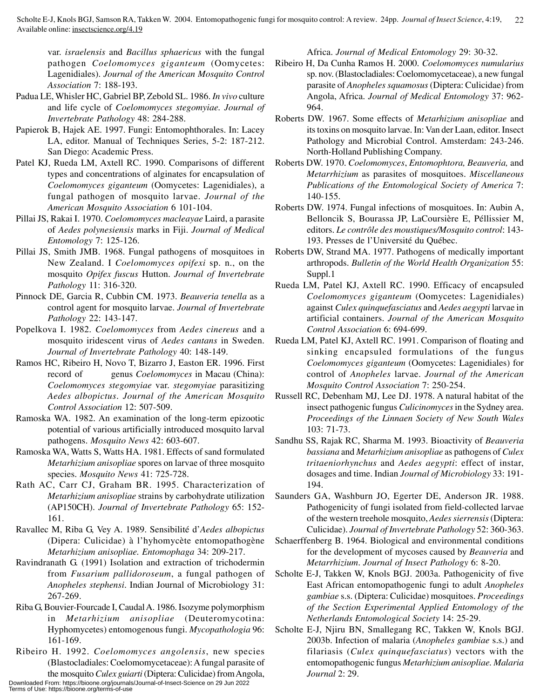Scholte E-J, Knols BGJ, Samson RA, Takken W. 2004. Entomopathogenic fungi for mosquito control: A review. 24pp. *Journal of Insect Science*, 4:19, 22 Available online: insectscience.org/4.19

var. *israelensis* and *Bacillus sphaericus* with the fungal pathogen *Coelomomyces giganteum* (Oomycetes: Lagenidiales). *Journal of the American Mosquito Control Association* 7: 188-193.

- Padua LE, Whisler HC, Gabriel BP, Zebold SL. 1986. *In vivo* culture and life cycle of *Coelomomyces stegomyiae. Journal of Invertebrate Pathology* 48: 284-288.
- Papierok B, Hajek AE. 1997. Fungi: Entomophthorales. In: Lacey LA, editor. Manual of Techniques Series, 5-2: 187-212. San Diego: Academic Press.
- Patel KJ, Rueda LM, Axtell RC. 1990. Comparisons of different types and concentrations of alginates for encapsulation of *Coelomomyces giganteum* (Oomycetes: Lagenidiales), a fungal pathogen of mosquito larvae. *Journal of the American Mosquito Association* 6 101-104.
- Pillai JS, Rakai I. 1970. *Coelomomyces macleayae* Laird, a parasite of *Aedes polynesiensis* marks in Fiji. *Journal of Medical Entomology* 7: 125-126.
- Pillai JS, Smith JMB. 1968. Fungal pathogens of mosquitoes in New Zealand. I *Coelomomyces opifexi* sp. n., on the mosquito *Opifex fuscus* Hutton. *Journal of Invertebrate Pathology* 11: 316-320.
- Pinnock DE, Garcia R, Cubbin CM. 1973. *Beauveria tenella* as a control agent for mosquito larvae. *Journal of Invertebrate Pathology* 22: 143-147.
- Popelkova I. 1982. *Coelomomyces* from *Aedes cinereus* and a mosquito iridescent virus of *Aedes cantans* in Sweden. *Journal of Invertebrate Pathology* 40: 148-149.
- Ramos HC, Ribeiro H, Novo T, Bizarro J, Easton ER. 1996. First record of genus *Coelomomyces* in Macau (China): *Coelomomyces stegomyiae* var. *stegomyiae* parasitizing *Aedes albopictus*. *Journal of the American Mosquito Control Association* 12: 507-509.
- Ramoska WA. 1982. An examination of the long-term epizootic potential of various artificially introduced mosquito larval pathogens. *Mosquito News* 42: 603-607.
- Ramoska WA, Watts S, Watts HA. 1981. Effects of sand formulated *Metarhizium anisopliae* spores on larvae of three mosquito species. *Mosquito News* 41: 725-728.
- Rath AC, Carr CJ, Graham BR. 1995. Characterization of *Metarhizium anisopliae* strains by carbohydrate utilization (AP150CH). *Journal of Invertebrate Pathology* 65: 152- 161.
- Ravallec M, Riba G, Vey A. 1989. Sensibilité d'*Aedes albopictus* (Dipera: Culicidae) à l'hyhomycète entomopathogène *Metarhizium anisopliae. Entomophaga* 34: 209-217.
- Ravindranath G. (1991) Isolation and extraction of trichodermin from *Fusarium pallidoroseum*, a fungal pathogen of *Anopheles stephensi*. Indian Journal of Microbiology 31: 267-269.
- Riba G, Bouvier-Fourcade I, Caudal A. 1986. Isozyme polymorphism in *Metarhizium anisopliae* (Deuteromycotina: Hyphomycetes) entomogenous fungi. *Mycopathologia* 96: 161-169.
- Ribeiro H. 1992. *Coelomomyces angolensis*, new species (Blastocladiales: Coelomomycetaceae): A fungal parasite of the mosquito *Culex guiarti* (Diptera: Culicidae) from Angola,

Downloaded From: https://bioone.org/journals/Journal-of-Insect-Science on 29 Jun 2022 Terms of Use: https://bioone.org/terms-of-use

Africa. *Journal of Medical Entomology* 29: 30-32.

- Ribeiro H, Da Cunha Ramos H. 2000. *Coelomomyces numularius* sp. nov. (Blastocladiales: Coelomomycetaceae), a new fungal parasite of *Anopheles squamosus* (Diptera: Culicidae) from Angola, Africa. *Journal of Medical Entomology* 37: 962- 964.
- Roberts DW. 1967. Some effects of *Metarhizium anisopliae* and its toxins on mosquito larvae. In: Van der Laan, editor. Insect Pathology and Microbial Control. Amsterdam: 243-246. North-Holland Publishing Company.
- Roberts DW. 1970. *Coelomomyces*, *Entomophtora, Beauveria,* and *Metarrhizium* as parasites of mosquitoes. *Miscellaneous Publications of the Entomological Society of America* 7: 140-155.
- Roberts DW. 1974. Fungal infections of mosquitoes. In: Aubin A, Belloncik S, Bourassa JP, LaCoursière E, Péllissier M, editors. *Le contrôle des moustiques/Mosquito control*: 143- 193. Presses de l'Université du Québec.
- Roberts DW, Strand MA. 1977. Pathogens of medically important arthropods. *Bulletin of the World Health Organization* 55: Suppl.1
- Rueda LM, Patel KJ, Axtell RC. 1990. Efficacy of encapsuled *Coelomomyces giganteum* (Oomycetes: Lagenidiales) against *Culex quinquefasciatus* and *Aedes aegypti* larvae in artificial containers. *Journal of the American Mosquito Control Association* 6: 694-699.
- Rueda LM, Patel KJ, Axtell RC. 1991. Comparison of floating and sinking encapsuled formulations of the fungus *Coelomomyces giganteum* (Oomycetes: Lagenidiales) for control of *Anopheles* larvae. *Journal of the American Mosquito Control Association* 7: 250-254.
- Russell RC, Debenham MJ, Lee DJ. 1978. A natural habitat of the insect pathogenic fungus *Culicinomyces* in the Sydney area. *Proceedings of the Linnaen Society of New South Wales* 103: 71-73.
- Sandhu SS, Rajak RC, Sharma M. 1993. Bioactivity of *Beauveria bassiana* and *Metarhizium anisopliae* as pathogens of *Culex tritaeniorhynchus* and *Aedes aegypti*: effect of instar, dosages and time. Indian *Journal of Microbiology* 33: 191- 194.
- Saunders GA, Washburn JO, Egerter DE, Anderson JR. 1988. Pathogenicity of fungi isolated from field-collected larvae of the western treehole mosquito, *Aedes sierrensis* (Diptera: Culicidae). *Journal of Invertebrate Pathology* 52: 360-363.
- Schaerffenberg B. 1964. Biological and environmental conditions for the development of mycoses caused by *Beauveria* and *Metarrhizium*. *Journal of Insect Pathology* 6: 8-20.
- Scholte E-J, Takken W, Knols BGJ. 2003a. Pathogenicity of five East African entomopathogenic fungi to adult *Anopheles gambiae* s.s. (Diptera: Culicidae) mosquitoes. *Proceedings of the Section Experimental Applied Entomology of the Netherlands Entomological Society* 14: 25-29.
- Scholte E-J, Njiru BN, Smallegang RC, Takken W, Knols BGJ. 2003b. Infection of malaria (*Anopheles gambiae* s.s.) and filariasis (*Culex quinquefasciatus*) vectors with the entomopathogenic fungus *Metarhizium anisopliae. Malaria Journal* 2: 29.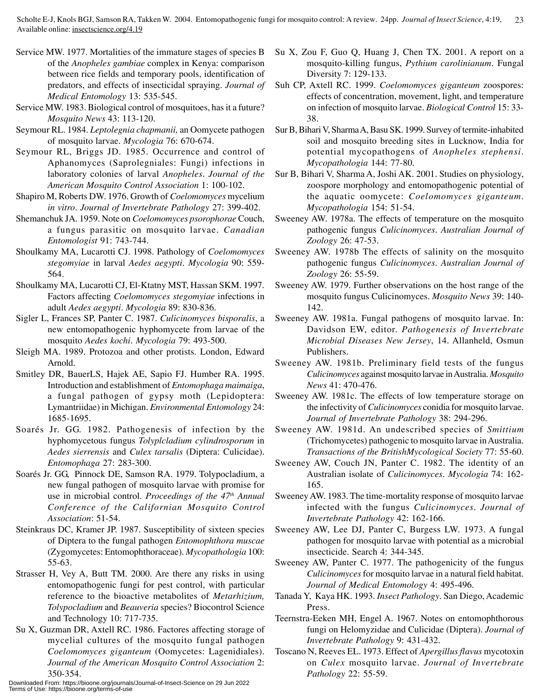Scholte E-J, Knols BGJ, Samson RA, Takken W. 2004. Entomopathogenic fungi for mosquito control: A review. 24pp. *Journal of Insect Science*, 4:19, 23 Available online: insectscience.org/4.19

- Service MW. 1977. Mortalities of the immature stages of species B of the *Anopheles gambiae* complex in Kenya: comparison between rice fields and temporary pools, identification of predators, and effects of insecticidal spraying. *Journal of Medical Entomology* 13: 535-545.
- Service MW. 1983. Biological control of mosquitoes, has it a future? *Mosquito News* 43: 113-120.
- Seymour RL. 1984. *Leptolegnia chapmanii,* an Oomycete pathogen of mosquito larvae. *Mycologia* 76: 670-674.
- Seymour RL, Briggs JD. 1985. Occurrence and control of Aphanomyces (Saprolegniales: Fungi) infections in laboratory colonies of larval *Anopheles*. *Journal of the American Mosquito Control Association* 1: 100-102.
- Shapiro M, Roberts DW. 1976. Growth of *Coelomomyces* mycelium *in vitro*. *Journal of Invertebrate Pathology* 27: 399-402.
- Shemanchuk JA. 1959. Note on *Coelomomyces psorophorae* Couch, a fungus parasitic on mosquito larvae. *Canadian Entomologist* 91: 743-744.
- Shoulkamy MA, Lucarotti CJ. 1998. Pathology of *Coelomomyces stegomyiae* in larval *Aedes aegypti*. *Mycologia* 90: 559- 564.
- Shoulkamy MA, Lucarotti CJ, El-Ktatny MST, Hassan SKM. 1997. Factors affecting *Coelomomyces stegomyiae* infections in adult *Aedes aegypti*. *Mycologia* 89: 830-836.
- Sigler L, Frances SP, Panter C. 1987. *Culicinomyces bisporalis*, a new entomopathogenic hyphomycete from larvae of the mosquito *Aedes kochi*. *Mycologia* 79: 493-500.
- Sleigh MA. 1989. Protozoa and other protists. London, Edward Arnold.
- Smitley DR, BauerLS, Hajek AE, Sapio FJ. Humber RA. 1995. Introduction and establishment of *Entomophaga maimaiga*, a fungal pathogen of gypsy moth (Lepidoptera: Lymantriidae) in Michigan. *Environmental Entomology* 24: 1685-1695.
- Soarés Jr. GG. 1982. Pathogenesis of infection by the hyphomycetous fungus *Tolyplcladium cylindrosporum* in *Aedes sierrensis* and *Culex tarsalis* (Diptera: Culicidae). *Entomophaga* 27: 283-300.
- Soarés Jr. GG, Pinnock DE, Samson RA. 1979. Tolypocladium, a new fungal pathogen of mosquito larvae with promise for use in microbial control. *Proceedings of the 47th Annual Conference of the Californian Mosquito Control Association*: 51-54.
- Steinkraus DC, Kramer JP. 1987. Susceptibility of sixteen species of Diptera to the fungal pathogen *Entomophthora muscae* (Zygomycetes: Entomophthoraceae). *Mycopathologia* 100: 55-63.
- Strasser H, Vey A, Butt TM. 2000. Are there any risks in using entomopathogenic fungi for pest control, with particular reference to the bioactive metabolites of *Metarhizium, Tolypocladium* and *Beauveria* species? Biocontrol Science and Technology 10: 717-735.
- Su X, Guzman DR, Axtell RC. 1986. Factores affecting storage of mycelial cultures of the mosquito fungal pathogen *Coelomomyces giganteum* (Oomycetes: Lagenidiales). *Journal of the American Mosquito Control Association* 2: 350-354.

Downloaded From: https://bioone.org/journals/Journal-of-Insect-Science on 29 Jun 2022 Terms of Use: https://bioone.org/terms-of-use

- Su X, Zou F, Guo Q, Huang J, Chen TX. 2001. A report on a mosquito-killing fungus, *Pythium carolinianum*. Fungal Diversity 7: 129-133.
- Suh CP, Axtell RC. 1999. *Coelomomyces giganteum* zoospores: effects of concentration, movement, light, and temperature on infection of mosquito larvae. *Biological Control* 15: 33- 38.
- Sur B, Bihari V, Sharma A, Basu SK. 1999. Survey of termite-inhabited soil and mosquito breeding sites in Lucknow, India for potential mycopathogens of *Anopheles stephensi*. *Mycopathologia* 144: 77-80.
- Sur B, Bihari V, Sharma A, Joshi AK. 2001. Studies on physiology, zoospore morphology and entomopathogenic potential of the aquatic oomycete: *Coelomomyces giganteum*. *Mycopathologia* 154: 51-54.
- Sweeney AW. 1978a. The effects of temperature on the mosquito pathogenic fungus *Culicinomyces*. *Australian Journal of Zoology* 26: 47-53.
- Sweeney AW. 1978b The effects of salinity on the mosquito pathogenic fungus *Culicinomyces*. *Australian Journal of Zoology* 26: 55-59.
- Sweeney AW. 1979. Further observations on the host range of the mosquito fungus Culicinomyces. *Mosquito News* 39: 140- 142.
- Sweeney AW. 1981a. Fungal pathogens of mosquito larvae. In: Davidson EW, editor. *Pathogenesis of Invertebrate Microbial Diseases New Jersey*, 14. Allanheld, Osmun Publishers.
- Sweeney AW. 1981b. Preliminary field tests of the fungus *Culicinomyces* against mosquito larvae in Australia. *Mosquito News* 41: 470-476.
- Sweeney AW. 1981c. The effects of low temperature storage on the infectivity of *Culicinomyces* conidia for mosquito larvae. *Journal of Invertebrate Pathology* 38: 294-296.
- Sweeney AW. 1981d. An undescribed species of *Smittium* (Trichomycetes) pathogenic to mosquito larvae in Australia. *Transactions of the BritishMycological Society* 77: 55-60.
- Sweeney AW, Couch JN, Panter C. 1982. The identity of an Australian isolate of *Culicinomyces*. *Mycologia* 74: 162- 165.
- Sweeney AW. 1983. The time-mortality response of mosquito larvae infected with the fungus *Culicinomyces*. *Journal of Invertebrate Pathology* 42: 162-166.
- Sweeney AW, Lee DJ, Panter C, Burgess LW. 1973. A fungal pathogen for mosquito larvae with potential as a microbial insecticide. Search 4: 344-345.
- Sweeney AW, Panter C. 1977. The pathogenicity of the fungus *Culicinomyces* for mosquito larvae in a natural field habitat. *Journal of Medical Entomology* 4: 495-496.
- Tanada Y, Kaya HK. 1993. *Insect Pathology*. San Diego, Academic Press.
- Teernstra-Eeken MH, Engel A. 1967. Notes on entomophthorous fungi on Helomyzidae and Culicidae (Diptera). *Journal of Invertebrate Pathology* 9: 431-432.
- Toscano N, Reeves EL. 1973. Effect of *Apergillus flavus* mycotoxin on *Culex* mosquito larvae. *Journal of Invertebrate Pathology* 22: 55-59.